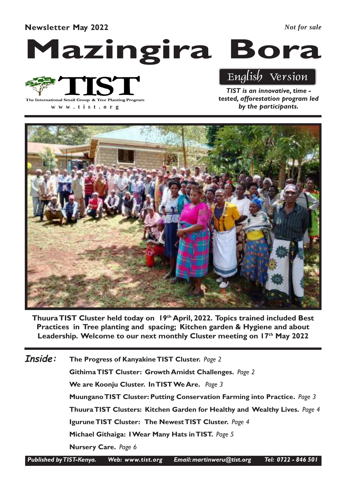Newsletter May 2022

*Not for sale*

# Mazingira Bora



**www .tist.org**

English Version

TIST is an innovative, time tested, afforestation program led by the participants.



Thuura TIST Cluster held today on 19th April, 2022. Topics trained included Best Practices in Tree planting and spacing; Kitchen garden & Hygiene and about Leadership. Welcome to our next monthly Cluster meeting on 17th May 2022

The Progress of Kanyakine TIST Cluster. Page 2 Githima TIST Cluster: Growth Amidst Challenges. Page 2 We are Koonju Cluster. In TIST We Are. Page 3 Muungano TIST Cluster: Putting Conservation Farming into Practice. Page 3 Thuura TIST Clusters: Kitchen Garden for Healthy and Wealthy Lives. Page 4 Igurune TIST Cluster: The Newest TIST Cluster. Page 4 Michael Githaiga: I Wear Many Hats in TIST. Page 5 Nursery Care. Page 6 Inside:

Published by TIST-Kenya. Web: www.tist.org Email: martinweru@tist.org Tel: 0722 - 846 501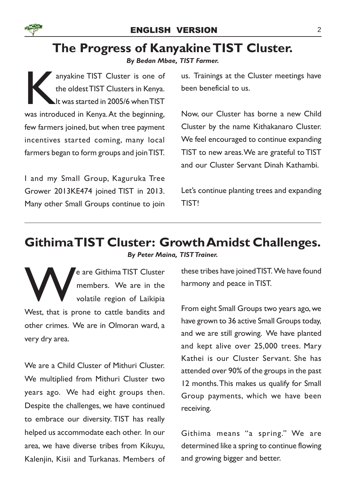

#### ENGLISH VERSION 2

### The Progress of Kanyakine TIST Cluster.

By Bedan Mbae, TIST Farmer.

anyakine TIST Cluster is one of<br>the oldest TIST Clusters in Kenya.<br>At was started in 2005/6 when TIST<br>was introduced in Kenya. At the beginning, anyakine TIST Cluster is one of the oldest TIST Clusters in Kenya. It was started in 2005/6 when TIST few farmers joined, but when tree payment incentives started coming, many local farmers began to form groups and join TIST.

I and my Small Group, Kaguruka Tree Grower 2013KE474 joined TIST in 2013. Many other Small Groups continue to join us. Trainings at the Cluster meetings have been beneficial to us.

Now, our Cluster has borne a new Child Cluster by the name Kithakanaro Cluster. We feel encouraged to continue expanding TIST to new areas. We are grateful to TIST and our Cluster Servant Dinah Kathambi.

Let's continue planting trees and expanding TIST!

### Githima TIST Cluster: Growth Amidst Challenges.

By Peter Maina, TIST Trainer.

West, that is prone to cattle bandits and e are Githima TIST Cluster members. We are in the volatile region of Laikipia other crimes. We are in Olmoran ward, a very dry area.

We are a Child Cluster of Mithuri Cluster. We multiplied from Mithuri Cluster two years ago. We had eight groups then. Despite the challenges, we have continued to embrace our diversity. TIST has really helped us accommodate each other. In our area, we have diverse tribes from Kikuyu, Kalenjin, Kisii and Turkanas. Members of these tribes have joined TIST. We have found harmony and peace in TIST.

From eight Small Groups two years ago, we have grown to 36 active Small Groups today, and we are still growing. We have planted and kept alive over 25,000 trees. Mary Kathei is our Cluster Servant. She has attended over 90% of the groups in the past 12 months.This makes us qualify for Small Group payments, which we have been receiving.

Githima means "a spring." We are determined like a spring to continue flowing and growing bigger and better.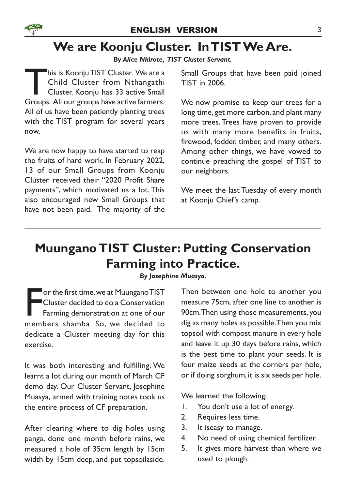# We are Koonju Cluster. In TIST We Are.

By Alice Nkirote, TIST Cluster Servant.

This is Koonju TIST Cluster. We are a<br>Child Cluster from Nthangathi<br>Cluster. Koonju has 33 active Small<br>Groups. All our groups have active farmers. his is Koonju TIST Cluster. We are a Child Cluster from Nthangathi Cluster. Koonju has 33 active Small All of us have been patiently planting trees with the TIST program for several years now.

We are now happy to have started to reap the fruits of hard work. In February 2022, 13 of our Small Groups from Koonju Cluster received their "2020 Profit Share payments", which motivated us a lot. This also encouraged new Small Groups that have not been paid. The majority of the

Small Groups that have been paid joined TIST in 2006.

We now promise to keep our trees for a long time, get more carbon, and plant many more trees. Trees have proven to provide us with many more benefits in fruits, firewood, fodder, timber, and many others. Among other things, we have vowed to continue preaching the gospel of TIST to our neighbors.

We meet the last Tuesday of every month at Koonju Chief's camp.

# Muungano TIST Cluster: Putting Conservation Farming into Practice.

By Josephine Muasya.

Figure 1.5 The first time, we at Muungano TIST<br>Cluster decided to do a Conservation<br>Farming demonstration at one of our<br>members shamba. So, we decided to **Tor the first time, we at Muungano TIST** Cluster decided to do a Conservation Farming demonstration at one of our dedicate a Cluster meeting day for this exercise.

It was both interesting and fulfilling. We learnt a lot during our month of March CF demo day. Our Cluster Servant, Josephine Muasya, armed with training notes took us the entire process of CF preparation.

After clearing where to dig holes using panga, done one month before rains, we measured a hole of 35cm length by 15cm width by 15cm deep, and put topsoilaside.

Then between one hole to another you measure 75cm, after one line to another is 90cm.Then using those measurements, you dig as many holes as possible. Then you mix topsoil with compost manure in every hole and leave it up 30 days before rains, which is the best time to plant your seeds. It is four maize seeds at the corners per hole, or if doing sorghum, it is six seeds per hole.

We learned the following;

- 1. You don't use a lot of energy.
- 2. Requires less time.
- 3. It iseasy to manage.
- 4. No need of using chemical fertilizer.
- 5. It gives more harvest than where we used to plough.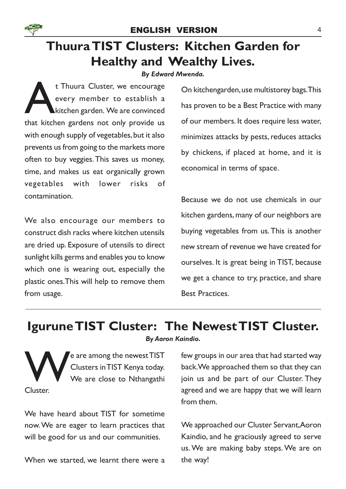

# Thuura TIST Clusters: Kitchen Garden for Healthy and Wealthy Lives.

By Edward Mwenda.

t Thuura Cluster, we encourage<br>
every member to establish a<br>
kitchen garden. We are convinced<br>
that kitchen gardens not only provide us t Thuura Cluster, we encourage every member to establish a kitchen garden. We are convinced with enough supply of vegetables, but it also prevents us from going to the markets more often to buy veggies.This saves us money, time, and makes us eat organically grown vegetables with lower risks of contamination.

We also encourage our members to construct dish racks where kitchen utensils are dried up. Exposure of utensils to direct sunlight kills germs and enables you to know which one is wearing out, especially the plastic ones.This will help to remove them from usage.

On kitchengarden, use multistorey bags.This has proven to be a Best Practice with many of our members. It does require less water, minimizes attacks by pests, reduces attacks by chickens, if placed at home, and it is economical in terms of space.

Because we do not use chemicals in our kitchen gardens, many of our neighbors are buying vegetables from us.This is another new stream of revenue we have created for ourselves. It is great being in TIST, because we get a chance to try, practice, and share Best Practices.

### Igurune TIST Cluster: The Newest TIST Cluster.

By Aaron Kaindio.

**W** e are among the newest TIST Clusters in TIST Kenya today. We are close to Nthangathi Cluster.

We have heard about TIST for sometime now. We are eager to learn practices that will be good for us and our communities.

When we started, we learnt there were a

few groups in our area that had started way back. We approached them so that they can join us and be part of our Cluster. They agreed and we are happy that we will learn from them.

We approached our Cluster Servant,Aoron Kaindio, and he graciously agreed to serve us. We are making baby steps. We are on the way!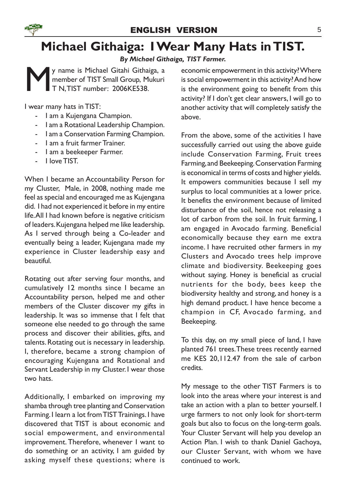# Michael Githaiga: I Wear Many Hats in TIST.

By Michael Githaiga, TIST Farmer.

M y name is Michael Gitahi Githaiga, a member of TIST Small Group, Mukuri T N,TIST number: 2006KE538.

I wear many hats in TIST:

- I am a Kujengana Champion.
- I am a Rotational Leadership Champion.
- I am a Conservation Farming Champion.
- I am a fruit farmer Trainer.
- I am a beekeeper Farmer.
- I love TIST.

When I became an Accountability Person for my Cluster, Male, in 2008, nothing made me feel as special and encouraged me as Kujengana did. I had not experienced it before in my entire life. All I had known before is negative criticism of leaders. Kujengana helped me like leadership. As I served through being a Co-leader and eventually being a leader, Kujengana made my experience in Cluster leadership easy and beautiful.

Rotating out after serving four months, and cumulatively 12 months since I became an Accountability person, helped me and other members of the Cluster discover my gifts in leadership. It was so immense that I felt that someone else needed to go through the same process and discover their abilities, gifts, and talents. Rotating out is necessary in leadership. I, therefore, became a strong champion of encouraging Kujengana and Rotational and Servant Leadership in my Cluster. I wear those two hats.

Additionally, I embarked on improving my shamba through tree planting and Conservation Farming. I learn a lot from TIST Trainings. I have discovered that TIST is about economic and social empowerment, and environmental improvement. Therefore, whenever I want to do something or an activity, I am guided by asking myself these questions; where is economic empowerment in this activity? Where is social empowerment in this activity? And how is the environment going to benefit from this activity? If I don't get clear answers, I will go to another activity that will completely satisfy the above.

From the above, some of the activities I have successfully carried out using the above guide include Conservation Farming, Fruit trees Farming, and Beekeeping. Conservation Farming is economical in terms of costs and higher yields. It empowers communities because I sell my surplus to local communities at a lower price. It benefits the environment because of limited disturbance of the soil, hence not releasing a lot of carbon from the soil. In fruit farming, I am engaged in Avocado farming. Beneficial economically because they earn me extra income. I have recruited other farmers in my Clusters and Avocado trees help improve climate and biodiversity. Beekeeping goes without saying. Honey is beneficial as crucial nutrients for the body, bees keep the biodiversity healthy and strong, and honey is a high demand product. I have hence become a champion in CF, Avocado farming, and Beekeeping.

To this day, on my small piece of land, I have planted 761 trees.These trees recently earned me KES 20,112.47 from the sale of carbon credits.

My message to the other TIST Farmers is to look into the areas where your interest is and take an action with a plan to better yourself. I urge farmers to not only look for short-term goals but also to focus on the long-term goals. Your Cluster Servant will help you develop an Action Plan. I wish to thank Daniel Gachoya, our Cluster Servant, with whom we have continued to work.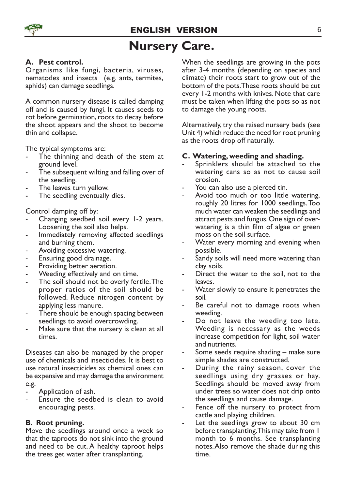# Nursery Care.

#### A. Pest control.

Organisms like fungi, bacteria, viruses, nematodes and insects (e.g. ants, termites, aphids) can damage seedlings.

A common nursery disease is called damping off and is caused by fungi. It causes seeds to rot before germination, roots to decay before the shoot appears and the shoot to become thin and collapse.

The typical symptoms are:

- The thinning and death of the stem at ground level.
- The subsequent wilting and falling over of the seedling.
- The leaves turn yellow.
- The seedling eventually dies.

Control damping off by:

- Changing seedbed soil every 1-2 years. Loosening the soil also helps.
- Immediately removing affected seedlings and burning them.
- Avoiding excessive watering.
- Ensuring good drainage.
- Providing better aeration.
- Weeding effectively and on time.
- The soil should not be overly fertile. The proper ratios of the soil should be followed. Reduce nitrogen content by applying less manure.
- There should be enough spacing between seedlings to avoid overcrowding.
- Make sure that the nursery is clean at all times.

Diseases can also be managed by the proper use of chemicals and insecticides. It is best to use natural insecticides as chemical ones can be expensive and may damage the environment e.g.

- Application of ash.
- Ensure the seedbed is clean to avoid encouraging pests.

#### B. Root pruning.

Move the seedlings around once a week so that the taproots do not sink into the ground and need to be cut. A healthy taproot helps the trees get water after transplanting.

When the seedlings are growing in the pots after 3-4 months (depending on species and climate) their roots start to grow out of the bottom of the pots.These roots should be cut every 1-2 months with knives. Note that care must be taken when lifting the pots so as not to damage the young roots.

Alternatively, try the raised nursery beds (see Unit 4) which reduce the need for root pruning as the roots drop off naturally.

#### C. Watering, weeding and shading.

- Sprinklers should be attached to the watering cans so as not to cause soil erosion.
- You can also use a pierced tin.
- Avoid too much or too little watering, roughly 20 litres for 1000 seedlings. Too much water can weaken the seedlings and attract pests and fungus. One sign of overwatering is a thin film of algae or green moss on the soil surface.
- Water every morning and evening when possible.
- Sandy soils will need more watering than clay soils.
- Direct the water to the soil, not to the leaves.
- Water slowly to ensure it penetrates the soil.
- Be careful not to damage roots when weeding.
- Do not leave the weeding too late. Weeding is necessary as the weeds increase competition for light, soil water and nutrients.
- Some seeds require shading make sure simple shades are constructed.
- During the rainy season, cover the seedlings using dry grasses or hay. Seedlings should be moved away from under trees so water does not drip onto the seedlings and cause damage.
- Fence off the nursery to protect from cattle and playing children.
- Let the seedlings grow to about 30 cm before transplanting.This may take from 1 month to 6 months. See transplanting notes.Also remove the shade during this time.

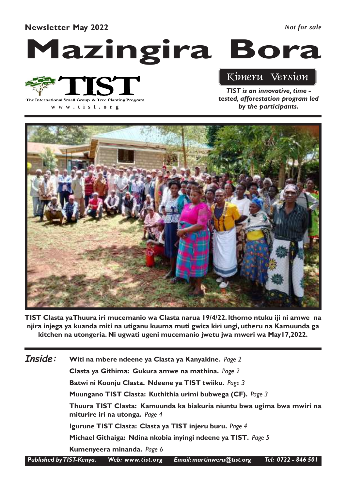#### Newsletter May 2022

*Not for sale*

# Mazingira Bora



**www .tist.org**

### Kimeru Version

TIST is an innovative, time tested, afforestation program led by the participants.



TIST Clasta yaThuura iri mucemanio wa Clasta narua 19/4/22. lthomo ntuku iji ni amwe na njira injega ya kuanda miti na utiganu kuuma muti gwita kiri ungi, utheru na Kamuunda ga kitchen na utongeria. Ni ugwati ugeni mucemanio jwetu jwa mweri wa May17,2022.

| Inside: | Witi na mbere ndeene ya Clasta ya Kanyakine. Page 2                                                      |
|---------|----------------------------------------------------------------------------------------------------------|
|         | Clasta ya Githima: Gukura amwe na mathina. Page 2                                                        |
|         | Batwi ni Koonju Clasta. Ndeene ya TIST twiiku. Page 3                                                    |
|         | Muungano TIST Clasta: Kuthithia urimi bubwega (CF). Page 3                                               |
|         | Thuura TIST Clasta: Kamuunda ka biakuria niuntu bwa ugima bwa mwiri na<br>miturire iri na utonga. Page 4 |
|         | Igurune TIST Clasta: Clasta ya TIST injeru buru. Page 4                                                  |
|         | Michael Githaiga: Ndina nkobia inyingi ndeene ya TIST. Page 5                                            |
|         | Kumenyeera minanda. Page 6                                                                               |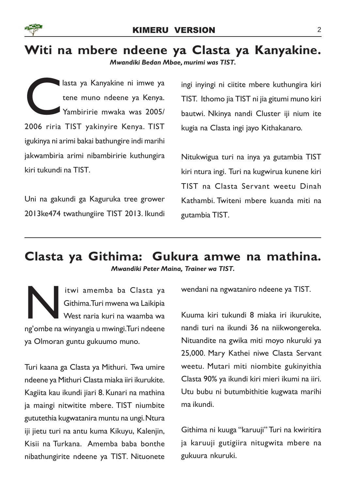

# Witi na mbere ndeene ya Clasta ya Kanyakine.

Mwandiki Bedan Mbae, murimi was TIST.

C<br>2006 riria lasta ya Kanyakine ni imwe ya tene muno ndeene ya Kenya. Yambiririe mwaka was 2005/ 2006 riria TIST yakinyire Kenya. TIST igukinya ni arimi bakai bathungire indi marihi jakwambiria arimi nibambiririe kuthungira kiri tukundi na TIST.

Uni na gakundi ga Kaguruka tree grower 2013ke474 twathungiire TIST 2013. Ikundi ingi inyingi ni ciitite mbere kuthungira kiri TIST. Ithomo jia TIST ni jia gitumi muno kiri bautwi. Nkinya nandi Cluster iji nium ite kugia na Clasta ingi jayo Kithakanaro.

Nitukwigua turi na inya ya gutambia TIST kiri ntura ingi. Turi na kugwirua kunene kiri TIST na Clasta Servant weetu Dinah Kathambi. Twiteni mbere kuanda miti na gutambia TIST.

#### Clasta ya Githima: Gukura amwe na mathina. Mwandiki Peter Maina, Trainer wa TIST.

Itwi amemba ba Clasta ya<br>Githima.Turi mwena wa Laikipia<br>West naria kuri na waamba wa<br>ng'ombe na winyangia u mwingi.Turi ndeene itwi amemba ba Clasta ya Githima. Turi mwena wa Laikipia West naria kuri na waamba wa ya Olmoran guntu gukuumo muno.

Turi kaana ga Clasta ya Mithuri. Twa umire ndeene ya Mithuri Clasta miaka iiri ikurukite. Kagiita kau ikundi jiari 8. Kunari na mathina ja maingi nitwitite mbere. TIST niumbite gututethia kugwatanira muntu na ungi. Ntura iji jietu turi na antu kuma Kikuyu, Kalenjin, Kisii na Turkana. Amemba baba bonthe nibathungirite ndeene ya TIST. Nituonete

wendani na ngwataniro ndeene ya TIST.

Kuuma kiri tukundi 8 miaka iri ikurukite, nandi turi na ikundi 36 na niikwongereka. Nituandite na gwika miti moyo nkuruki ya 25,000. Mary Kathei niwe Clasta Servant weetu. Mutari miti niombite gukinyithia Clasta 90% ya ikundi kiri mieri ikumi na iiri. Utu bubu ni butumbithitie kugwata marihi ma ikundi.

Githima ni kuuga "karuuji" Turi na kwiritira ja karuuji gutigiira nitugwita mbere na gukuura nkuruki.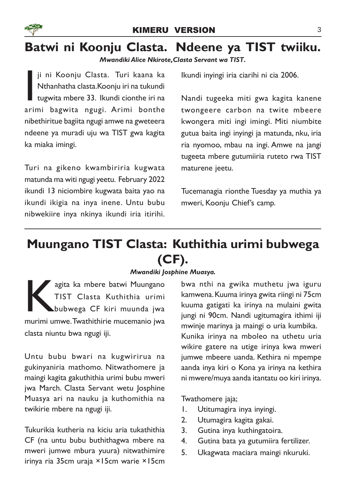# Batwi ni Koonju Clasta. Ndeene ya TIST twiiku.

#### Mwandiki Alice Nkirote,Clasta Servant wa TIST.

ji ni Koonju Clasta. Turi kaana ka<br>Nthanhatha clasta. Koonju iri na tukundi<br>tugwita mbere 33. Ikundi cionthe iri na<br>arimi bagwita ngugi. Arimi bonthe ji ni Koonju Clasta. Turi kaana ka Nthanhatha clasta.Koonju iri na tukundi tugwita mbere 33. Ikundi cionthe iri na nibethiritue bagiita ngugi amwe na gweteera ndeene ya muradi uju wa TIST gwa kagita ka miaka imingi.

Turi na gikeno kwambiriria kugwata matunda ma witi ngugi yeetu. February 2022 ikundi 13 niciombire kugwata baita yao na ikundi ikigia na inya inene. Untu bubu nibwekiire inya nkinya ikundi iria itirihi.

Ikundi inyingi iria ciarihi ni cia 2006.

Nandi tugeeka miti gwa kagita kanene twongeere carbon na twite mbeere kwongera miti ingi imingi. Miti niumbite gutua baita ingi inyingi ja matunda, nku, iria ria nyomoo, mbau na ingi. Amwe na jangi tugeeta mbere gutumiiria ruteto rwa TIST maturene jeetu.

Tucemanagia rionthe Tuesday ya muthia ya mweri, Koonju Chief's camp.

# Muungano TIST Clasta: Kuthithia urimi bubwega (CF).

#### Mwandiki Josphine Muasya.

agita ka mbere batwi Muungano<br>TIST Clasta Kuthithia urimi<br>bubwega CF kiri muunda jwa<br>murimi umwe.Twathithirie mucemanio jwa agita ka mbere batwi Muungano TIST Clasta Kuthithia urimi bubwega CF kiri muunda jwa clasta niuntu bwa ngugi iji.

Untu bubu bwari na kugwirirua na gukinyaniria mathomo. Nitwathomere ja maingi kagita gakuthithia urimi bubu mweri jwa March. Clasta Servant wetu Josphine Muasya ari na nauku ja kuthomithia na twikirie mbere na ngugi iji.

Tukurikia kutheria na kiciu aria tukathithia CF (na untu bubu buthithagwa mbere na mweri jumwe mbura yuura) nitwathimire irinya ria 35cm uraja ×15cm warie ×15cm

bwa nthi na gwika muthetu jwa iguru kamwena. Kuuma irinya gwita riingi ni 75cm kuuma gatigati ka irinya na mulaini gwita jungi ni 90cm. Nandi ugitumagira ithimi iji mwinje marinya ja maingi o uria kumbika. Kunika irinya na mboleo na uthetu uria wikire gatere na utige irinya kwa mweri jumwe mbeere uanda. Kethira ni mpempe aanda inya kiri o Kona ya irinya na kethira ni mwere/muya aanda itantatu oo kiri irinya.

Twathomere jaja;

- 1. Utitumagira inya inyingi.
- 2. Utumagira kagita gakai.
- 3. Gutina inya kuthingatoira.
- 4. Gutina bata ya gutumiira fertilizer.
- 5. Ukagwata maciara maingi nkuruki.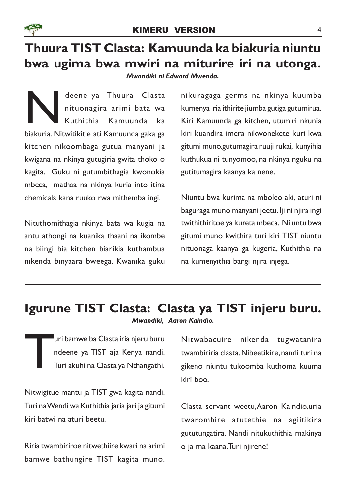

# Thuura TIST Clasta: Kamuunda ka biakuria niuntu bwa ugima bwa mwiri na miturire iri na utonga.

Mwandiki ni Edward Mwenda.

deene ya Thuura Clasta<br>nituonagira arimi bata wa<br>Kuthithia Kamuunda ka<br>biakuria. Nitwitikitie ati Kamuunda gaka ga deene ya Thuura Clasta nituonagira arimi bata wa Kuthithia Kamuunda ka kitchen nikoombaga gutua manyani ja kwigana na nkinya gutugiria gwita thoko o kagita. Guku ni gutumbithagia kwonokia mbeca, mathaa na nkinya kuria into itina chemicals kana ruuko rwa mithemba ingi.

Nituthomithagia nkinya bata wa kugia na antu athongi na kuanika thaani na ikombe na biingi bia kitchen biarikia kuthambua nikenda binyaara bweega. Kwanika guku

nikuragaga germs na nkinya kuumba kumenya iria ithirite jiumba gutiga gutumirua. Kiri Kamuunda ga kitchen, utumiri nkunia kiri kuandira imera nikwonekete kuri kwa gitumi muno.gutumagira ruuji rukai, kunyihia kuthukua ni tunyomoo, na nkinya nguku na gutitumagira kaanya ka nene.

Niuntu bwa kurima na mboleo aki, aturi ni baguraga muno manyani jeetu. Iji ni njira ingi twithithiritoe ya kureta mbeca. Ni untu bwa gitumi muno kwithira turi kiri TIST niuntu nituonaga kaanya ga kugeria, Kuthithia na na kumenyithia bangi njira injega.

### Igurune TIST Clasta: Clasta ya TIST injeru buru.

Mwandiki, Aaron Kaindio.

T <sup>I</sup>uri bamwe ba Clasta iria njeru buru ndeene ya TIST aja Kenya nandi. Turi akuhi na Clasta ya Nthangathi.

Nitwigitue mantu ja TIST gwa kagita nandi. Turi na Wendi wa Kuthithia jaria jari ja gitumi kiri batwi na aturi beetu.

Riria twambiriroe nitwethiire kwari na arimi bamwe bathungire TIST kagita muno.

Nitwabacuire nikenda tugwatanira twambiriria clasta. Nibeetikire, nandi turi na gikeno niuntu tukoomba kuthoma kuuma kiri boo.

Clasta servant weetu,Aaron Kaindio,uria twarombire atutethie na agiitikira gututungatira. Nandi nitukuthithia makinya o ja ma kaana.Turi njirene!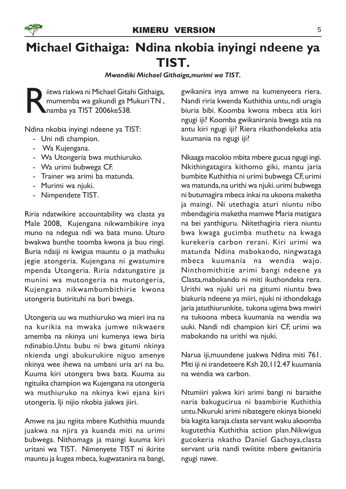



# Michael Githaiga: Ndina nkobia inyingi ndeene ya TIST.

#### Mwandiki Michael Githaiga,murimi wa TIST.

R iitwa riakwa ni Michael Gitahi Githaiga, mumemba wa gakundi ga Mukuri TN , namba ya TIST 2006ke538.

Ndina nkobia inyingi ndeene ya TIST:

- Uni ndi champion.
- Wa Kujengana.
- Wa Utongeria bwa muthiuruko.
- Wa urimi bubwega CF.
- Trainer wa arimi ba matunda.
- Murimi wa njuki.
- Nimpendete TIST.

Riria ndatwikire accountability wa clasta ya Male 2008, Kujengana nikwambikire inya muno na ndegua ndi wa bata muno. Uturo bwakwa bunthe toomba kwona ja buu ringi. Buria ndaiji ni kwigua mauntu o ja mathuku jegie atongeria. Kujengana ni gwatumire mpenda Utongeria. Riria ndatungatire ja munini wa mutongeria na mutongeria, Kujengana nikwambumbithirie kwona utongeria butirituhi na buri bwega.

Utongeria uu wa muthiuruko wa mieri ina na na kurikia na mwaka jumwe nikwaere amemba na nkinya uni kumenya iewa biria ndinabio.Untu bubu ni bwa gitumi nkinya nkienda ungi abukurukire niguo amenye nkinya wee ihewa na umbani uria ari na bu. Kuuma kiri utongera bwa bata. Kuuma au ngituika champion wa Kujengana na utongeria wa muthiuruko na nkinya kwi ejana kiri utongeria. Iji nijio nkobia jiakwa jiiri.

Amwe na jau ngiita mbere Kuthithia muunda juakwa na njira ya kuanda miti na urimi bubwega. Nithomaga ja maingi kuuma kiri uritani wa TIST. Nimenyete TIST ni ikirite mauntu ja kugea mbeca, kugwatanira na bangi,

gwikanira inya amwe na kumenyeera riera. Nandi riria kwenda Kuthithia untu, ndi uragia biuria bibi. Koomba kwona mbeca atia kiri ngugi iji? Koomba gwikanirania bwega atia na antu kiri ngugi iji? Riera rikathondekeka atia kuumania na ngugi iji?

Nkaaga macokio mbita mbere gucua ngugi ingi. Nkithingatagira kithomo giki, mantu jaria bumbite Kuthithia ni urimi bubwega CF, urimi wa matunda, na urithi wa njuki. urimi bubwega ni butumagira mbeca inkai na ukoona maketha ja maingi. Ni utethagia aturi niuntu nibo mbendagiria maketha mamwe Maria matigara na bei yanthiguru. Niitethagiria riera niuntu bwa kwaga gucimba muthetu na kwaga kurekeria carbon rerani. Kiri urimi wa matunda Ndina mabokando, ningwataga mbeca kuumania na wendia wajo. Ninthomithitie arimi bangi ndeene ya Clasta,mabokando ni miti ikuthondeka rera. Urithi wa njuki uri na gitumi niuntu bwa biakuria ndeene ya miiri, njuki ni ithondekaga jaria jatuthiurunkite, tukona ugima bwa mwiri na tukoona mbeca kuumania na wendia wa uuki. Nandi ndi champion kiri CF, urimi wa mabokando na urithi wa njuki.

Narua iji,muundene juakwa Ndina miti 761. Miti iji ni irandeteere Ksh 20,112.47 kuumania na wendia wa carbon.

Ntumiiri yakwa kiri arimi bangi ni baraithe naria bakugucirua ni baambirie Kuthithia untu.Nkuruki arimi nibategere nkinya bioneki bia kagita karaja.clasta servant waku akoomba kugutethia Kuthithia action plan.Nikwigua gucokeria nkatho Daniel Gachoya,clasta servant uria nandi twiitite mbere gwitaniria ngugi nawe.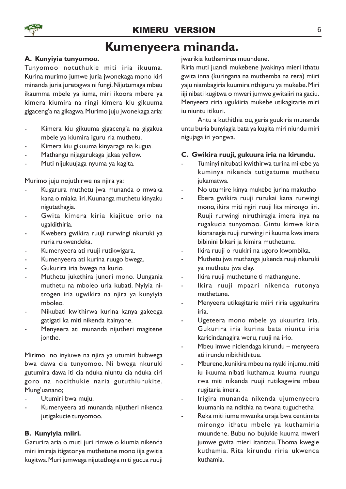### Kumenyeera minanda.

#### A. Kunyiyia tunyomoo.

Tunyomoo notuthukie miti iria ikuuma. Kurina murimo jumwe juria jwonekaga mono kiri minanda juria juretagwa ni fungi. Nijutumaga mbeu ikaumma mbele ya iuma, miri ikoora mbere ya kimera kiumira na ringi kimera kiu gikuuma gigaceng'a na gikagwa. Murimo juju jwonekaga aria:

- Kimera kiu gikuuma gigaceng'a na gigakua mbele ya kiumira iguru ria muthetu.
- Kimera kiu gikuuma kinyaraga na kugua.
- Mathangu nijagarukaga jakaa yellow.
- Muti nijukuujaga nyuma ya kagita.

Murimo juju nojuthirwe na njira ya:

- Kugarura muthetu jwa munanda o mwaka kana o miaka iiri. Kuunanga muthetu kinyaku nigutethagia.
- Gwita kimera kiria kiajitue orio na ugakiithiria.
- Kwebera gwikira ruuji rurwingi nkuruki ya ruria rukwendeka.
- Kumenyeera ati ruuji rutikwigara.
- Kumenyeera ati kurina ruugo bwega.
- Gukurira iria bwega na kurio.
- Muthetu jukethira junori mono. Uungania muthetu na mboleo uria kubati. Nyiyia nitrogen iria ugwikira na njira ya kunyiyia mboleo.
- Nikubati kwithirwa kurina kanya gakeega gatigati ka miti nikenda itainyane.
- Menyeera ati munanda nijutheri magitene jonthe.

Mirimo no inyiuwe na njira ya utumiri bubwega bwa dawa cia tunyomoo. Ni bwega nkuruki gutumira dawa iti cia nduka niuntu cia nduka ciri goro na nocithukie naria gututhiurukite. Mung'uanano;

- Utumiri bwa muju.
- Kumenyeera ati munanda nijutheri nikenda jutigakucie tunyomoo.

#### B. Kunyiyia miiri.

Garurira aria o muti juri rimwe o kiumia nikenda miri imiraja itigatonye muthetune mono iija gwitia kugitwa. Muri jumwega nijutethagia miti gucua ruuji jwarikia kuthamirua muundene.

Riria muti juandi mukebene jwakinya mieri ithatu gwita inna (kuringana na muthemba na rera) miiri yaju niambagiria kuumira nthiguru ya mukebe. Miri iiji nibati kugitwa o mweri jumwe gwitaiiri na gaciu. Menyeera riria ugukiiria mukebe utikagitarie miri iu niuntu itikuri.

Antu a kuthithia ou, geria guukiria munanda untu buria bunyiagia bata ya kugita miri niundu miri nigujaga iri yongwa.

#### C. Gwikira ruuji, gukuura iria na kirundu.

- Tuminyi nitubati kwithirwa turina mikebe ya kuminya nikenda tutigatume muthetu jukamatwa.
- No utumire kinya mukebe jurina makutho
- Ebera gwikira ruuji rurukai kana rurwingi mono, ikira miti ngiri ruuji lita mirongo iiri. Ruuji rurwingi niruthiragia imera inya na rugakucia tunyomoo. Gintu kimwe kiria kionanagia ruuji rurwingi ni kuuma kwa imera bibinini bikari ja kimira muthetune.
- Ikira ruuji o ruukiri na ugoro kwombika.
- Muthetu jwa muthanga jukenda ruuji nkuruki ya muthetu jwa clay.
- Ikira ruuji muthetune ti mathangune.
- Ikira ruuji mpaari nikenda rutonya muthetune.
- Menyeera utikagitarie miiri riria uggukurira iria.
- Ugeteera mono mbele ya ukuurira iria. Gukurira iria kurina bata niuntu iria karicindanagira weru, ruuji na irio.
- Mbeu imwe niciendaga kirundu menyeera ati irundu nibithithitue.
- Mburene, kunikira mbeu na nyaki injumu. miti iu ikuuma nibati kuthamua kuuma ruungu rwa miti nikenda ruuji rutikagwire mbeu rugitaria imera.
- Irigira munanda nikenda ujumenyeera kuumania na ndithia na twana tuguchetha
- Reka miti iume mwanka uraja bwa centimita mirongo ithatu mbele ya kuthamiria muundene. Bubu no bujukie kuuma mweri jumwe gwita mieri itantatu.Thoma kwegie kuthamia. Rita kirundu riria ukwenda kuthamia.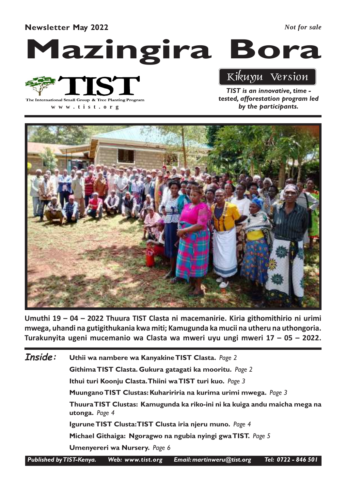#### Newsletter May 2022

*Not for sale*

# Mazingira Bora



**www .tist.org**

Kikuyu Version

TIST is an innovative, time tested, afforestation program led by the participants.



Umuthi 19 – 04 – 2022 Thuura TIST Clasta ni macemanirie. Kiria githomithirio ni urimi mwega, uhandi na gutigithukania kwa miti; Kamugunda ka mucii na utheru na uthongoria. Turakunyita ugeni mucemanio wa Clasta wa mweri uyu ungi mweri 17 – 05 – 2022.

Uthii wa nambere wa Kanyakine TIST Clasta. Page 2 Githima TIST Clasta. Gukura gatagati ka mooritu. Page 2 Ithui turi Koonju Clasta.Thiini wa TIST turi kuo. Page 3 Muungano TIST Clustas: Kuhaririria na kurima urimi mwega. Page 3 Thuura TIST Clustas: Kamugunda ka riko-ini ni ka kuiga andu maicha mega na utonga. Page 4 Igurune TIST Clusta:TIST Clusta iria njeru muno. Page 4 Michael Githaiga: Ngoragwo na ngubia nyingi gwa TIST. Page 5 Umenyereri wa Nursery. Page 6 Inside:

Published by TIST-Kenya. Web: www.tist.org Email: martinweru@tist.org Tel: 0722 - 846 501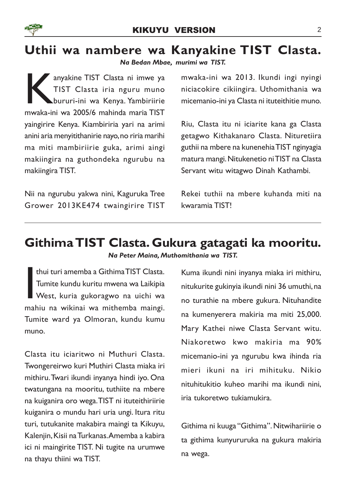### Uthii wa nambere wa Kanyakine TIST Clasta.

Na Bedan Mbae, murimi wa TIST.

anyakine TIST Clasta ni imwe ya<br>TIST Clasta iria nguru muno<br>bururi-ini wa Kenya. Yambiriirie<br>mwaka-ini wa 2005/6 mahinda maria TIST anyakine TIST Clasta ni imwe ya TIST Clasta iria nguru muno bururi-ini wa Kenya. Yambiriirie yaingirire Kenya. Kiambiriria yari na arimi anini aria menyitithanirie nayo, no riria marihi ma miti mambiriirie guka, arimi aingi makiingira na guthondeka ngurubu na makiingira TIST.

Nii na ngurubu yakwa nini, Kaguruka Tree Grower 2013KE474 twaingirire TIST mwaka-ini wa 2013. Ikundi ingi nyingi niciacokire cikiingira. Uthomithania wa micemanio-ini ya Clasta ni ituteithitie muno.

Riu, Clasta itu ni iciarite kana ga Clasta getagwo Kithakanaro Clasta. Nituretiira guthii na mbere na kunenehia TIST nginyagia matura mangi. Nitukenetio ni TIST na Clasta Servant witu witagwo Dinah Kathambi.

Rekei tuthii na mbere kuhanda miti na kwaramia TIST!

### Githima TIST Clasta. Gukura gatagati ka mooritu. Na Peter Maina, Muthomithania wa TIST.

thui turi amemba a Githima TIST Clasta.<br>Tumite kundu kuritu mwena wa Laikipia<br>West, kuria gukoragwo na uichi wa<br>mahiu na wikinai wa mithemba maingi. thui turi amemba a Githima TIST Clasta. Tumite kundu kuritu mwena wa Laikipia West, kuria gukoragwo na uichi wa Tumite ward ya Olmoran, kundu kumu muno.

Clasta itu iciaritwo ni Muthuri Clasta. Twongereirwo kuri Muthiri Clasta miaka iri mithiru. Twari ikundi inyanya hindi iyo. Ona twatungana na mooritu, tuthiite na mbere na kuiganira oro wega.TIST ni ituteithiriirie kuiganira o mundu hari uria ungi. Itura ritu turi, tutukanite makabira maingi ta Kikuyu, Kalenjin, Kisii na Turkanas.Amemba a kabira ici ni maingirite TIST. Ni tugite na urumwe na thayu thiini wa TIST.

Kuma ikundi nini inyanya miaka iri mithiru, nitukurite gukinyia ikundi nini 36 umuthi, na no turathie na mbere gukura. Nituhandite na kumenyerera makiria ma miti 25,000. Mary Kathei niwe Clasta Servant witu. Niakoretwo kwo makiria ma 90% micemanio-ini ya ngurubu kwa ihinda ria mieri ikuni na iri mihituku. Nikio nituhitukitio kuheo marihi ma ikundi nini, iria tukoretwo tukiamukira.

Githima ni kuuga "Githima". Nitwihariirie o ta githima kunyururuka na gukura makiria na wega.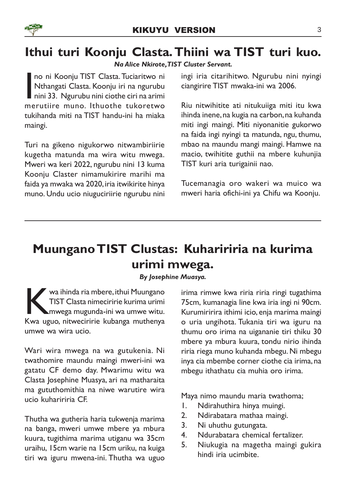

# Ithui turi Koonju Clasta.Thiini wa TIST turi kuo.

#### Na Alice Nkirote, TIST Cluster Servant.

no ni Koonju TIST Clasta. Tuciaritwo ni<br>Nthangati Clasta. Koonju iri na ngurubu<br>nini 33. Ngurubu nini ciothe ciri na arimi<br>merutiire muno. Ithuothe tukoretwo no ni Koonju TIST Clasta. Tuciaritwo ni Nthangati Clasta. Koonju iri na ngurubu nini 33. Ngurubu nini ciothe ciri na arimi tukihanda miti na TIST handu-ini ha miaka maingi.

Turi na gikeno nigukorwo nitwambiriirie kugetha matunda ma wira witu mwega. Mweri wa keri 2022, ngurubu nini 13 kuma Koonju Claster nimamukirire marihi ma faida ya mwaka wa 2020, iria itwikirite hinya muno. Undu ucio niuguciriirie ngurubu nini

ingi iria citarihitwo. Ngurubu nini nyingi ciangirire TIST mwaka-ini wa 2006.

Riu nitwihitite ati nitukuiiga miti itu kwa ihinda inene, na kugia na carbon, na kuhanda miti ingi maingi. Miti niyonanitie gukorwo na faida ingi nyingi ta matunda, ngu, thumu, mbao na maundu mangi maingi. Hamwe na macio, twihitite guthii na mbere kuhunjia TIST kuri aria turigainii nao.

Tucemanagia oro wakeri wa muico wa mweri haria ofichi-ini ya Chifu wa Koonju.

# Muungano TIST Clustas: Kuhaririria na kurima urimi mwega.

By Josephine Muasya.

Wa ihinda ria mbere, ithui Muungano<br>TIST Clasta nimeciririe kurima urimi<br>mwega mugunda-ini wa umwe witu.<br>Kwa uguo, nitweciririe kubanga muthenya  $\mathbb{\mathbb{Z}}$  wa ihinda ria mbere, ithui Muungano TIST Clasta nimeciririe kurima urimi mwega mugunda-ini wa umwe witu. umwe wa wira ucio.

Wari wira mwega na wa gutukenia. Ni twathomire maundu maingi mweri-ini wa gatatu CF demo day. Mwarimu witu wa Clasta Josephine Muasya, ari na matharaita ma gututhomithia na niwe warutire wira ucio kuhaririria CF.

Thutha wa gutheria haria tukwenja marima na banga, mweri umwe mbere ya mbura kuura, tugithima marima utiganu wa 35cm uraihu, 15cm warie na 15cm uriku, na kuiga tiri wa iguru mwena-ini. Thutha wa uguo

irima rimwe kwa riria riria ringi tugathima 75cm, kumanagia line kwa iria ingi ni 90cm. Kurumiririra ithimi icio, enja marima maingi o uria ungihota. Tukania tiri wa iguru na thumu oro irima na uigananie tiri thiku 30 mbere ya mbura kuura, tondu nirio ihinda riria riega muno kuhanda mbegu. Ni mbegu inya cia mbembe corner ciothe cia irima, na mbegu ithathatu cia muhia oro irima.

Maya nimo maundu maria twathoma;

- 1. Ndirahuthira hinya muingi.
- 2. Ndirabatara mathaa maingi.
- 3. Ni uhuthu gutungata.
- 4. Ndurabatara chemical fertalizer.
- 5. Niukugia na magetha maingi gukira hindi iria ucimbite.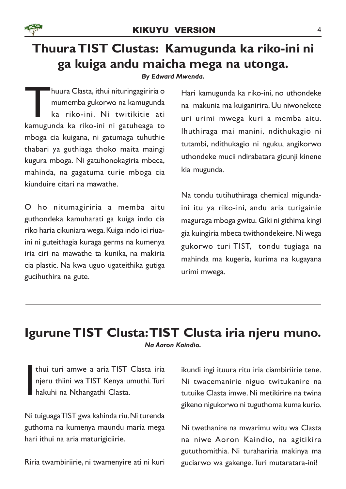

# Thuura TIST Clustas: Kamugunda ka riko-ini ni ga kuiga andu maicha mega na utonga.

By Edward Mwenda.

T kamugunda ka riko-ini ni gatuheaga to huura Clasta, ithui nituringagiriria o mumemba gukorwo na kamugunda ka riko-ini. Ni twitikitie ati mboga cia kuigana, ni gatumaga tuhuthie thabari ya guthiaga thoko maita maingi kugura mboga. Ni gatuhonokagiria mbeca, mahinda, na gagatuma turie mboga cia kiunduire citari na mawathe.

O ho nitumagiriria a memba aitu guthondeka kamuharati ga kuiga indo cia riko haria cikuniara wega. Kuiga indo ici riuaini ni guteithagia kuraga germs na kumenya iria ciri na mawathe ta kunika, na makiria cia plastic. Na kwa uguo ugateithika gutiga gucihuthira na gute.

Hari kamugunda ka riko-ini, no uthondeke na makunia ma kuiganirira. Uu niwonekete uri urimi mwega kuri a memba aitu. Ihuthiraga mai manini, ndithukagio ni tutambi, ndithukagio ni nguku, angikorwo uthondeke mucii ndirabatara gicunji kinene kia mugunda.

Na tondu tutihuthiraga chemical migundaini itu ya riko-ini, andu aria turigainie maguraga mboga gwitu. Giki ni githima kingi gia kuingiria mbeca twithondekeire. Ni wega gukorwo turi TIST, tondu tugiaga na mahinda ma kugeria, kurima na kugayana urimi mwega.

### Igurune TIST Clusta:TIST Clusta iria njeru muno. Na Aaron Kaindio.

I thui turi amwe a aria TIST Clasta iria njeru thiini wa TIST Kenya umuthi. Turi hakuhi na Nthangathi Clasta.

Ni tuiguaga TIST gwa kahinda riu. Ni turenda guthoma na kumenya maundu maria mega hari ithui na aria maturigiciirie.

Riria twambiriirie, ni twamenyire ati ni kuri

ikundi ingi ituura ritu iria ciambiriirie tene. Ni twacemanirie niguo twitukanire na tutuike Clasta imwe. Ni metikirire na twina gikeno nigukorwo ni tuguthoma kuma kurio.

Ni twethanire na mwarimu witu wa Clasta na niwe Aoron Kaindio, na agitikira gututhomithia. Ni turahariria makinya ma guciarwo wa gakenge. Turi mutaratara-ini!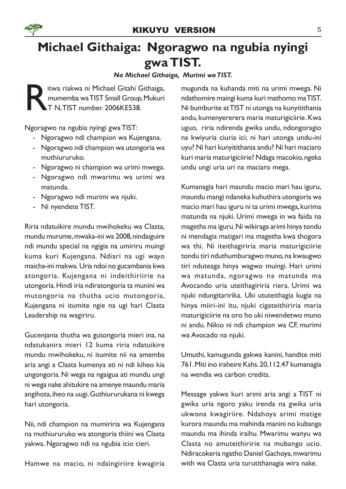

# Michael Githaiga: Ngoragwo na ngubia nyingi gwa TIST.

Na Michael Githaiga, Murimi wa TIST.

R itwa riakwa ni Michael Gitahi Githaiga, mumemba wa TIST Small Group, Mukuri T N,TIST number. 2006KE538.

Ngoragwo na ngubia nyingi gwa TIST:

- Ngoragwo ndi champion wa Kujengana.
- Ngoragwo ndi champion wa utongoria wa muthiururuko.
- Ngoragwo ni champion wa urimi mwega.
- Ngoragwo ndi mwarimu wa urimi wa matunda.
- Ngoragwo ndi murimi wa njuki.
- Ni nyendete TIST.

Riria ndatuikire mundu mwihokeku wa Clasta, mundu murume, mwaka-ini wa 2008, nindaiguire ndi mundu special na ngigia na umiriru muingi kuma kuri Kujengana. Ndiari na ugi wayo maicha-ini makwa. Uria ndoi no gucambania kwa atongoria. Kujengana ni indeithiriirie na utongoria. Hindi iria ndiratongoria ta munini wa mutongoria na thutha ucio mutongoria, Kujengana ni itumite ngie na ugi hari Clasta Leadership na wagiriru.

Gucenjania thutha wa gutongoria mieri ina, na ndatukanira mieri 12 kuma riria ndatuikire mundu mwihokeku, ni itumite nii na amemba aria angi a Clasta kumenya ati ni ndi kiheo kia ungongoria. Ni wega na ngaigua ati mundu ungi ni wega nake ahitukire na amenye maundu maria angihota, iheo na uugi. Guthiururukana ni kwega hari utongoria.

Nii, ndi champion na mumiriria wa Kujengana na muthiururuko wa atongoria thiini wa Clasta yakwa. Ngoragwo ndi na ngubia icio cieri.

Hamwe na macio, ni ndaingiriire kwagiria

mugunda na kuhanda miti na urimi mwega. Ni ndathomire maingi kuma kuri mathomo ma TIST. Ni bumburite at TIST ni utonga na kunyitithania andu, kumenyererera maria maturigiciirie. Kwa uguo, riria ndirenda gwika undu, ndongoragio na kwiyuria ciuria ici; ni hari utonga undu-ini uyu? Ni hari kunyitithania andu? Ni hari maciaro kuri maria maturigiciirie? Ndaga macokio, ngeka undu ungi uria uri na maciaro mega.

Kumanagia hari maundu macio mari hau iguru, maundu mangi ndaneka kuhuthira utongoria wa macio mari hau iguru ni ta urimi mwega, kurima matunda na njuki. Urimi mwega in wa faida na magetha ma iguru. Ni wikiraga arimi hinya tondu ni mendagia matigari ma magetha kwa thogora wa thi. Ni iteithagiriria maria maturigiciirie tondu tiri nduthumburagwo muno, na kwaugwo tiri nduteaga hinya wagwo muingi. Hari urimi wa matunda, ngoragwo na matunda ma Avocando uria uteithagiriria riera. Urimi wa njuki ndungitaririka. Uki ututeithagia kugia na hinya miiri-ini itu, njuki cigateithiriria maria maturigiciirie na oro ho uki niwendetwo muno ni andu. Nikio ni ndi champion wa CF, murimi wa Avocado na njuki.

Umuthi, kamugunda gakwa kanini, handite miti 761. Miti ino iraheire Kshs. 20,112.47 kumanagia na wendia wa carbon credits.

Message yakwa kuri arimi aria angi a TIST ni gwika uria ngoro yaku irenda na gwika uria ukwona kwagiriire. Ndahoya arimi matige kurora maundu ma mahinda manini no kubanga maundu ma ihinda iraihu. Mwarimu wanyu wa Clasta no amuteithiririe na mubango ucio. Ndiracokeria ngatho Daniel Gachoya, mwarimu with wa Clasta uria turutithanagia wira nake.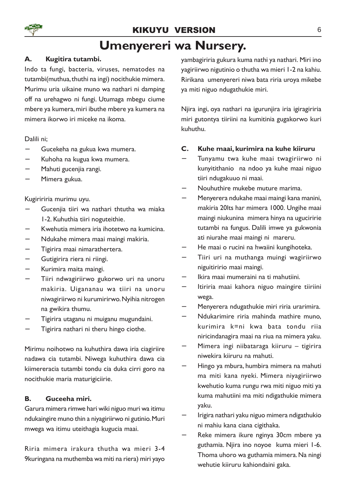

### Umenyereri wa Nursery.

#### A. Kugitira tutambi.

Indo ta fungi, bacteria, viruses, nematodes na tutambi(muthua, thuthi na ingi) nocithukie mimera. Murimu uria uikaine muno wa nathari ni damping off na urehagwo ni fungi. Utumaga mbegu ciume mbere ya kumera, miri ibuthe mbere ya kumera na mimera ikorwo iri miceke na ikoma.

Dalili ni;

- − Gucekeha na gukua kwa mumera.
- Kuhoha na kugua kwa mumera.
- − Mahuti gucenjia rangi.
- − Mimera gukua.

Kugiririria murimu uyu.

- − Gucenjia tiiri wa nathari thtutha wa miaka 1-2. Kuhuthia tiiri noguteithie.
- − Kwehutia mimera iria ihotetwo na kumicina.
- − Ndukahe mimera maai maingi makiria.
- − Tigirira maai nimarathertera.
- − Gutigirira riera ni riingi.
- − Kurimira maita maingi.
- − Tiiri ndwagiriirwo gukorwo uri na unoru makiria. Uigananau wa tiiri na unoru niwagiriirwo ni kurumirirwo. Nyihia nitrogen na gwikira thumu.
- − Tigirira utaganu ni muiganu mugundaini.
- Tigirira nathari ni theru hingo ciothe.

Mirimu noihotwo na kuhuthira dawa iria ciagiriire nadawa cia tutambi. Niwega kuhuthira dawa cia kiimereracia tutambi tondu cia duka cirri goro na nocithukie maria maturigiciirie.

#### B. Guceeha miri.

Garura mimera rimwe hari wiki niguo muri wa itimu ndukaingire muno thin a niyagiriirwo ni gutinio. Muri mwega wa itimu uteithagia kugucia maai.

Riria mimera irakura thutha wa mieri 3-4 9kuringana na muthemba wa miti na riera) miri yayo yambagiriria gukura kuma nathi ya nathari. Miri ino yagiriirwo nigutinio o thutha wa mieri 1-2 na kahiu. Ririkana umenyereri niwa bata riria uroya mikebe ya miti niguo ndugathukie miri.

Njira ingi, oya nathari na igurunjira iria igiragiriria miri gutontya tiiriini na kumitinia gugakorwo kuri kuhuthu.

#### C. Kuhe maai, kurimira na kuhe kiiruru

- − Tunyamu twa kuhe maai twagiriirwo ni kunyitithanio na ndoo ya kuhe maai niguo tiiri ndugakuuo ni maai.
- − Nouhuthire mukebe muture marima.
- − Menyerera ndukahe maai maingi kana manini, makiria 20lts har mimera 1000. Ungihe maai maingi niukunina mimera hinya na uguciririe tutambi na fungus. Dalili imwe ya gukwonia ati niurahe maai maingi ni mareru.
- He maai o rucini na hwaiini kungihoteka.
- − Tiiri uri na muthanga muingi wagiriirwo niguitiririo maai maingi.
- − Ikira maai mumeraini na ti mahutiini.
- − Itiriria maai kahora niguo maingire tiiriini wega.
- − Menyerera ndugathukie miri riria urarimira.
- − Ndukarimire riria mahinda mathire muno, kurimira k=ni kwa bata tondu riia niricindanagira maai na riua na mimera yaku.
- − Mimera ingi niibataraga kiiruru tigirira niwekira kiiruru na mahuti.
- − Hingo ya mbura, humbira mimera na mahuti ma miti kana nyeki. Mimera niyagiriirwo kwehutio kuma rungu rwa miti niguo miti ya kuma mahutiini ma miti ndigathukie mimera yaku.
- − Irigira nathari yaku niguo mimera ndigathukio ni mahiu kana ciana cigithaka.
- − Reke mimera ikure nginya 30cm mbere ya guthamia. Njira ino noyoe kuma mieri 1-6. Thoma uhoro wa guthamia mimera. Na ningi wehutie kiiruru kahiondaini gaka.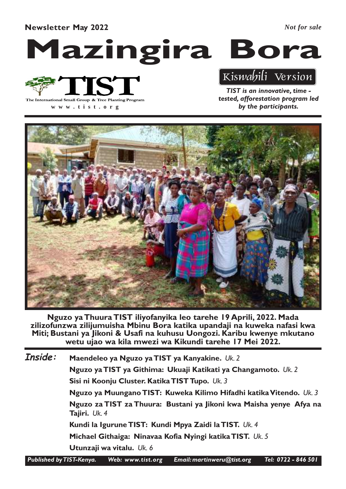#### Newsletter May 2022

*Not for sale*

# Mazingira Bora



**www .tist.org**

Kiswahili Version

TIST is an innovative, time tested, afforestation program led by the participants.



Nguzo ya Thuura TIST iliyofanyika leo tarehe 19 Aprili, 2022. Mada zilizofunzwa zilijumuisha Mbinu Bora katika upandaji na kuweka nafasi kwa Miti; Bustani ya Jikoni & Usafi na kuhusu Uongozi. Karibu kwenye mkutano wetu ujao wa kila mwezi wa Kikundi tarehe 17 Mei 2022.

Maendeleo ya Nguzo ya TIST ya Kanyakine. Uk. 2 Nguzo ya TIST ya Githima: Ukuaji Katikati ya Changamoto. Uk. 2 Sisi ni Koonju Cluster. Katika TIST Tupo. Uk. 3 Nguzo ya Muungano TIST: Kuweka Kilimo Hifadhi katika Vitendo. Uk. 3 Nguzo za TIST za Thuura: Bustani ya Jikoni kwa Maisha yenye Afya na Tajiri. Uk. 4 Kundi la Igurune TIST: Kundi Mpya Zaidi la TIST. Uk. 4 Michael Githaiga: Ninavaa Kofia Nyingi katika TIST. Uk. 5 Utunzaji wa vitalu. Uk. 6 Inside:

Published by TIST-Kenya. Web: www.tist.org Email: martinweru@tist.org Tel: 0722 - 846 501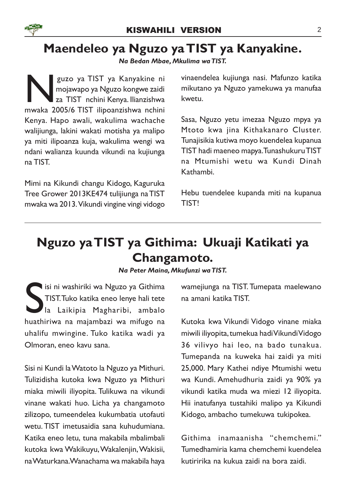

### Maendeleo ya Nguzo ya TIST ya Kanyakine.

Na Bedan Mbae, Mkulima wa TIST.

guzo ya TIST ya Kanyakine ni<br>mojawapo ya Nguzo kongwe zaidi<br>za TIST nchini Kenya. Ilianzishwa<br>mwaka 2005/6 TIST ilipoanzishwa nchini guzo ya TIST ya Kanyakine ni mojawapo ya Nguzo kongwe zaidi za TIST nchini Kenya. Ilianzishwa Kenya. Hapo awali, wakulima wachache walijiunga, lakini wakati motisha ya malipo ya miti ilipoanza kuja, wakulima wengi wa ndani walianza kuunda vikundi na kujiunga na TIST.

Mimi na Kikundi changu Kidogo, Kaguruka Tree Grower 2013KE474 tulijiunga na TIST mwaka wa 2013. Vikundi vingine vingi vidogo

vinaendelea kujiunga nasi. Mafunzo katika mikutano ya Nguzo yamekuwa ya manufaa kwetu.

Sasa, Nguzo yetu imezaa Nguzo mpya ya Mtoto kwa jina Kithakanaro Cluster. Tunajisikia kutiwa moyo kuendelea kupanua TIST hadi maeneo mapya. Tunashukuru TIST na Mtumishi wetu wa Kundi Dinah Kathambi.

Hebu tuendelee kupanda miti na kupanua TIST!

# Nguzo ya TIST ya Githima: Ukuaji Katikati ya Changamoto.

#### Na Peter Maina, Mkufunzi wa TIST.

Sisi ni washiriki wa Nguzo ya Githima<br>TIST.Tuko katika eneo lenye hali tete<br>la Laikipia Magharibi, ambalo<br>huathiriwa na majambazi wa mifugo na isi ni washiriki wa Nguzo ya Githima TIST. Tuko katika eneo lenye hali tete la Laikipia Magharibi, ambalo uhalifu mwingine. Tuko katika wadi ya Olmoran, eneo kavu sana.

Sisi ni Kundi la Watoto la Nguzo ya Mithuri. Tulizidisha kutoka kwa Nguzo ya Mithuri miaka miwili iliyopita. Tulikuwa na vikundi vinane wakati huo. Licha ya changamoto zilizopo, tumeendelea kukumbatia utofauti wetu. TIST imetusaidia sana kuhudumiana. Katika eneo letu, tuna makabila mbalimbali kutoka kwa Wakikuyu, Wakalenjin, Wakisii, na Waturkana. Wanachama wa makabila haya wamejiunga na TIST. Tumepata maelewano na amani katika TIST.

Kutoka kwa Vikundi Vidogo vinane miaka miwili iliyopita, tumekua hadi Vikundi Vidogo 36 vilivyo hai leo, na bado tunakua. Tumepanda na kuweka hai zaidi ya miti 25,000. Mary Kathei ndiye Mtumishi wetu wa Kundi. Amehudhuria zaidi ya 90% ya vikundi katika muda wa miezi 12 iliyopita. Hii inatufanya tustahiki malipo ya Kikundi Kidogo, ambacho tumekuwa tukipokea.

Githima inamaanisha "chemchemi." Tumedhamiria kama chemchemi kuendelea kutiririka na kukua zaidi na bora zaidi.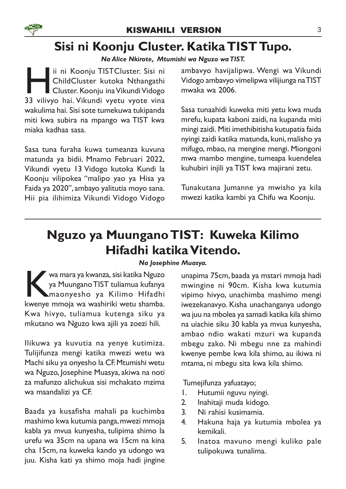# Sisi ni Koonju Cluster. Katika TIST Tupo.

Na Alice Nkirote, Mtumishi wa Nguzo wa TIST.

**Hermin State III ST** in it Koonju TISTCluster. Sisi ni<br>ChildCluster kutoka Nthangathi<br>33 vilivyo hai. Vikundi vyetu vyote vina ii ni Koonju TISTCluster. Sisi ni ChildCluster kutoka Nthangathi Cluster. Koonju ina Vikundi Vidogo wakulima hai. Sisi sote tumekuwa tukipanda miti kwa subira na mpango wa TIST kwa miaka kadhaa sasa.

Sasa tuna furaha kuwa tumeanza kuvuna matunda ya bidii. Mnamo Februari 2022, Vikundi vyetu 13 Vidogo kutoka Kundi la Koonju vilipokea "malipo yao ya Hisa ya Faida ya 2020", ambayo yalitutia moyo sana. Hii pia ilihimiza Vikundi Vidogo Vidogo ambavyo havijalipwa. Wengi wa Vikundi Vidogo ambavyo vimelipwa vilijiunga na TIST mwaka wa 2006.

Sasa tunaahidi kuweka miti yetu kwa muda mrefu, kupata kaboni zaidi, na kupanda miti mingi zaidi. Miti imethibitisha kutupatia faida nyingi zaidi katika matunda, kuni, malisho ya mifugo, mbao, na mengine mengi. Miongoni mwa mambo mengine, tumeapa kuendelea kuhubiri injili ya TIST kwa majirani zetu.

Tunakutana Jumanne ya mwisho ya kila mwezi katika kambi ya Chifu wa Koonju.

# Nguzo ya Muungano TIST: Kuweka Kilimo Hifadhi katika Vitendo.

#### Na Josephine Muasya.

kwa mara ya kwanza, sisi katika Nguzo<br>
ya Muungano TIST tuliamua kufanya<br>
kwenye mmoja wa washiriki wetu shamba. wa mara ya kwanza, sisi katika Nguzo ya Muungano TIST tuliamua kufanya maonyesho ya Kilimo Hifadhi Kwa hivyo, tuliamua kutenga siku ya mkutano wa Nguzo kwa ajili ya zoezi hili.

Ilikuwa ya kuvutia na yenye kutimiza. Tulijifunza mengi katika mwezi wetu wa Machi siku ya onyesho la CF. Mtumishi wetu wa Nguzo, Josephine Muasya, akiwa na noti za mafunzo alichukua sisi mchakato mzima wa maandalizi ya CF.

Baada ya kusafisha mahali pa kuchimba mashimo kwa kutumia panga, mwezi mmoja kabla ya mvua kunyesha, tulipima shimo la urefu wa 35cm na upana wa 15cm na kina cha 15cm, na kuweka kando ya udongo wa juu. Kisha kati ya shimo moja hadi jingine

unapima 75cm, baada ya mstari mmoja hadi mwingine ni 90cm. Kisha kwa kutumia vipimo hivyo, unachimba mashimo mengi iwezekanavyo. Kisha unachanganya udongo wa juu na mbolea ya samadi katika kila shimo na uiachie siku 30 kabla ya mvua kunyesha, ambao ndio wakati mzuri wa kupanda mbegu zako. Ni mbegu nne za mahindi kwenye pembe kwa kila shimo, au ikiwa ni mtama, ni mbegu sita kwa kila shimo.

Tumejifunza yafuatayo;

- 1. Hutumii nguvu nyingi.
- 2. Inahitaji muda kidogo.
- 3. Ni rahisi kusimamia.
- 4. Hakuna haja ya kutumia mbolea ya kemikali.
- 5. Inatoa mavuno mengi kuliko pale tulipokuwa tunalima.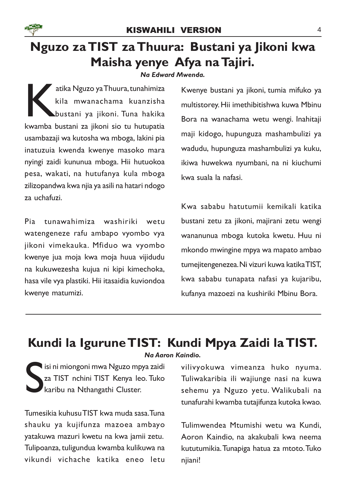

# Nguzo za TIST za Thuura: Bustani ya Jikoni kwa Maisha yenye Afya na Tajiri.

#### Na Edward Mwenda.

atika Nguzo ya Thuura, tunahimiza<br>kila mwanachama kuanzisha<br>bustani ya jikoni. Tuna hakika<br>kwamba bustani za jikoni sio tu hutupatia atika Nguzo ya Thuura, tunahimiza kila mwanachama kuanzisha bustani ya jikoni. Tuna hakika usambazaji wa kutosha wa mboga, lakini pia inatuzuia kwenda kwenye masoko mara nyingi zaidi kununua mboga. Hii hutuokoa pesa, wakati, na hutufanya kula mboga zilizopandwa kwa njia ya asili na hatari ndogo za uchafuzi.

Pia tunawahimiza washiriki wetu watengeneze rafu ambapo vyombo vya jikoni vimekauka. Mfiduo wa vyombo kwenye jua moja kwa moja huua vijidudu na kukuwezesha kujua ni kipi kimechoka, hasa vile vya plastiki. Hii itasaidia kuviondoa kwenye matumizi.

Kwenye bustani ya jikoni, tumia mifuko ya multistorey. Hii imethibitishwa kuwa Mbinu Bora na wanachama wetu wengi. Inahitaji maji kidogo, hupunguza mashambulizi ya wadudu, hupunguza mashambulizi ya kuku, ikiwa huwekwa nyumbani, na ni kiuchumi kwa suala la nafasi.

Kwa sababu hatutumii kemikali katika bustani zetu za jikoni, majirani zetu wengi wananunua mboga kutoka kwetu. Huu ni mkondo mwingine mpya wa mapato ambao tumejitengenezea. Ni vizuri kuwa katika TIST, kwa sababu tunapata nafasi ya kujaribu, kufanya mazoezi na kushiriki Mbinu Bora.

#### Kundi la Igurune TIST: Kundi Mpya Zaidi la TIST. Na Aaron Kaindio.

S isi ni miongoni mwa Nguzo mpya zaidi za TIST nchini TIST Kenya leo. Tuko karibu na Nthangathi Cluster.

Tumesikia kuhusu TIST kwa muda sasa. Tuna shauku ya kujifunza mazoea ambayo yatakuwa mazuri kwetu na kwa jamii zetu. Tulipoanza, tuligundua kwamba kulikuwa na vikundi vichache katika eneo letu

vilivyokuwa vimeanza huko nyuma. Tuliwakaribia ili wajiunge nasi na kuwa sehemu ya Nguzo yetu. Walikubali na tunafurahi kwamba tutajifunza kutoka kwao.

Tulimwendea Mtumishi wetu wa Kundi, Aoron Kaindio, na akakubali kwa neema kututumikia. Tunapiga hatua za mtoto. Tuko njiani!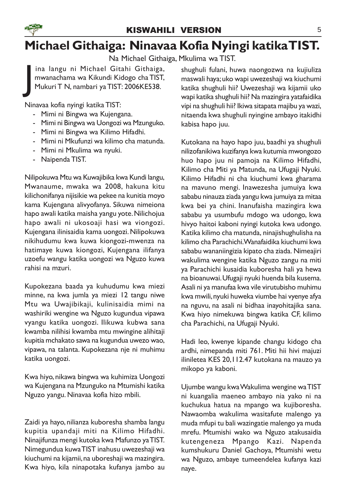

# Michael Githaiga: Ninavaa Kofia Nyingi katika TIST.

Na Michael Githaiga, Mkulima wa TIST.

J ina langu ni Michael Gitahi Githaiga, mwanachama wa Kikundi Kidogo cha TIST, Mukuri T N, nambari ya TIST: 2006KE538.

Ninavaa kofia nyingi katika TIST:

- Mimi ni Bingwa wa Kujengana.
- Mimi ni Bingwa wa Uongozi wa Mzunguko.
- Mimi ni Bingwa wa Kilimo Hifadhi.
- Mimi ni Mkufunzi wa kilimo cha matunda.
- Mimi ni Mkulima wa nyuki.
- Naipenda TIST.

Nilipokuwa Mtu wa Kuwajibika kwa Kundi langu, Mwanaume, mwaka wa 2008, hakuna kitu kilichonifanya nijisikie wa pekee na kunitia moyo kama Kujengana alivyofanya. Sikuwa nimeiona hapo awali katika maisha yangu yote. Nilichojua hapo awali ni ukosoaji hasi wa viongozi. Kujengana ilinisaidia kama uongozi. Nilipokuwa nikihudumu kwa kuwa kiongozi-mwenza na hatimaye kuwa kiongozi, Kujengana ilifanya uzoefu wangu katika uongozi wa Nguzo kuwa rahisi na mzuri.

Kupokezana baada ya kuhudumu kwa miezi minne, na kwa jumla ya miezi 12 tangu niwe Mtu wa Uwajibikaji, kulinisaidia mimi na washiriki wengine wa Nguzo kugundua vipawa vyangu katika uongozi. Ilikuwa kubwa sana kwamba nilihisi kwamba mtu mwingine alihitaji kupitia mchakato sawa na kugundua uwezo wao, vipawa, na talanta. Kupokezana nje ni muhimu katika uongozi.

Kwa hiyo, nikawa bingwa wa kuhimiza Uongozi wa Kujengana na Mzunguko na Mtumishi katika Nguzo yangu. Ninavaa kofia hizo mbili.

Zaidi ya hayo, nilianza kuboresha shamba langu kupitia upandaji miti na Kilimo Hifadhi. Ninajifunza mengi kutoka kwa Mafunzo ya TIST. Nimegundua kuwa TIST inahusu uwezeshaji wa kiuchumi na kijamii, na uboreshaji wa mazingira. Kwa hiyo, kila ninapotaka kufanya jambo au

shughuli fulani, huwa naongozwa na kujiuliza maswali haya; uko wapi uwezeshaji wa kiuchumi katika shughuli hii? Uwezeshaji wa kijamii uko wapi katika shughuli hii? Na mazingira yatafaidika vipi na shughuli hii? Ikiwa sitapata majibu ya wazi, nitaenda kwa shughuli nyingine ambayo itakidhi kabisa hapo juu.

Kutokana na hayo hapo juu, baadhi ya shughuli nilizofanikiwa kuzifanya kwa kutumia mwongozo huo hapo juu ni pamoja na Kilimo Hifadhi, Kilimo cha Miti ya Matunda, na Ufugaji Nyuki. Kilimo Hifadhi ni cha kiuchumi kwa gharama na mavuno mengi. Inawezesha jumuiya kwa sababu ninauza ziada yangu kwa jumuiya za mitaa kwa bei ya chini. Inanufaisha mazingira kwa sababu ya usumbufu mdogo wa udongo, kwa hivyo haitoi kaboni nyingi kutoka kwa udongo. Katika kilimo cha matunda, ninajishughulisha na kilimo cha Parachichi. Wanafaidika kiuchumi kwa sababu wananiingizia kipato cha ziada. Nimeajiri wakulima wengine katika Nguzo zangu na miti ya Parachichi kusaidia kuboresha hali ya hewa na bioanuwai. Ufugaji nyuki huenda bila kusema. Asali ni ya manufaa kwa vile virutubisho muhimu kwa mwili, nyuki huweka viumbe hai vyenye afya na nguvu, na asali ni bidhaa inayohitajika sana. Kwa hiyo nimekuwa bingwa katika CF, kilimo cha Parachichi, na Ufugaji Nyuki.

Hadi leo, kwenye kipande changu kidogo cha ardhi, nimepanda miti 761. Miti hii hivi majuzi iliniletea KES 20,112.47 kutokana na mauzo ya mikopo ya kaboni.

Ujumbe wangu kwa Wakulima wengine wa TIST ni kuangalia maeneo ambayo nia yako ni na kuchukua hatua na mpango wa kujiboresha. Nawaomba wakulima wasitafute malengo ya muda mfupi tu bali wazingatie malengo ya muda mrefu. Mtumishi wako wa Nguzo atakusaidia kutengeneza Mpango Kazi. Napenda kumshukuru Daniel Gachoya, Mtumishi wetu wa Nguzo, ambaye tumeendelea kufanya kazi naye.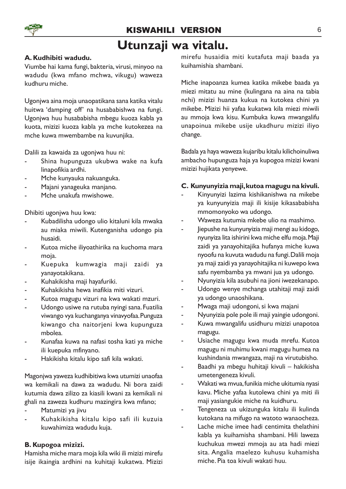#### KISWAHILI VERSION 6

### Utunzaji wa vitalu.

#### A. Kudhibiti wadudu.

Viumbe hai kama fungi, bakteria, virusi, minyoo na wadudu (kwa mfano mchwa, vikugu) waweza kudhuru miche.

Ugonjwa aina moja unaopatikana sana katika vitalu huitwa 'damping off' na husababishwa na fungi. Ugonjwa huu husababisha mbegu kuoza kabla ya kuota, mizizi kuoza kabla ya mche kutokezea na mche kuwa mwembambe na kuvunjika.

Dalili za kawaida za ugonjwa huu ni:

- Shina hupunguza ukubwa wake na kufa linapofikia ardhi.
- Mche kunyauka nakuanguka.
- Majani yanageuka manjano.
- Mche unakufa mwishowe

Dhibiti ugonjwa huu kwa:

- Kubadilisha udongo ulio kitaluni kila mwaka au miaka miwili. Kutenganisha udongo pia husaidi.
- Kutoa miche iliyoathirika na kuchoma mara moja.
- Kuepuka kumwagia maji zaidi ya yanayotakikana.
- Kuhakikisha maji hayafuriki.
- Kuhakikisha hewa inafikia miti vizuri.
- Kutoa magugu vizuri na kwa wakati mzuri.
- Udongo usiwe na rutuba nyingi sana. Fuatilia viwango vya kuchanganya vinavyofaa. Punguza kiwango cha naitorjeni kwa kupunguza mbolea.
- Kunafaa kuwa na nafasi tosha kati ya miche ili kuepuka mfinyano.
- Hakikisha kitalu kipo safi kila wakati.

Magonjwa yaweza kudhibitiwa kwa utumizi unaofaa wa kemikali na dawa za wadudu. Ni bora zaidi kutumia dawa zilizo za kiasili kwani za kemikali ni ghali na zaweza kudhuru mazingira kwa mfano;

- Matumizi ya jivu
- Kuhakikisha kitalu kipo safi ili kuzuia kuwahimiza wadudu kuja.

#### B. Kupogoa mizizi.

Hamisha miche mara moja kila wiki ili mizizi mirefu isije ikaingia ardhini na kuhitaji kukatwa. Mizizi mirefu husaidia miti kutafuta maji baada ya kuihamishia shambani.

Miche inapoanza kumea katika mikebe baada ya miezi mitatu au mine (kulingana na aina na tabia nchi) mizizi huanza kukua na kutokea chini ya mikebe. Mizizi hii yafaa kukatwa kila miezi miwili au mmoja kwa kisu. Kumbuka kuwa mwangalifu unapoinua mikebe usije ukadhuru mizizi iliyo change.

Badala ya haya waweza kujaribu kitalu kilichoinuliwa ambacho hupunguza haja ya kupogoa mizizi kwani mizizi hujikata yenyewe.

#### C. Kunyunyizia maji, kutoa magugu na kivuli.

- Kinyunyizi lazima kishikanishwa na mikebe ya kunyunyizia maji ili kisije kikasababisha mmomonyoko wa udongo.
- Waweza kutumia mkebe ulio na mashimo.
- Jiepushe na kunyunyizia maji mengi au kidogo, nyunyiza lita ishirini kwa miche elfu moja. Maji zaidi ya yanayohitajika hufanya miche kuwa nyoofu na kuvuta wadudu na fungi. Dalili moja ya maji zaidi ya yanayohitajika ni kuwepo kwa safu nyembamba ya mwani jua ya udongo.
- Nyunyizia kila asubuhi na jioni iwezekanapo.
- Udongo wenye mchanga utahitaji maji zaidi ya udongo unaoshikana.
- Mwaga maji udongoni, si kwa majani
- Nyunyizia pole pole ili maji yaingie udongoni.
- Kuwa mwangalifu usidhuru mizizi unapotoa magugu.
- Usiache magugu kwa muda mrefu. Kutoa magugu ni muhimu kwani magugu humea na kushindania mwangaza, maji na virutubisho.
- Baadhi ya mbegu huhitaji kivuli hakikisha umetengeneza kivuli.
- Wakati wa mvua, funikia miche ukitumia nyasi kavu. Miche yafaa kutolewa chini ya miti ili maji yasiangukie miche na kuidhuru.
- Tengeneza ua ukizunguka kitalu ili kulinda kutokana na mifugo na watoto wanaocheza.
- Lache miche imee hadi centimita thelathini kabla ya kuihamisha shambani. Hili laweza kuchukua mwezi mmoja au ata hadi miezi sita. Angalia maelezo kuhusu kuhamisha miche. Pia toa kivuli wakati huu.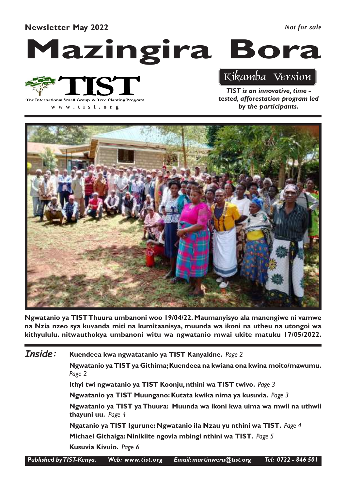#### Newsletter May 2022

*Not for sale*

# Mazingira Bora



**www .tist.org**

Kikamba Version

TIST is an innovative, time tested, afforestation program led by the participants.



Ngwatanio ya TISTThuura umbanoni woo 19/04/22. Maumanyisyo ala manengiwe ni vamwe na Nzia nzeo sya kuvanda miti na kumitaanisya, muunda wa ikoni na utheu na utongoi wa kithyululu. nitwauthokya umbanoni witu wa ngwatanio mwai ukite matuku 17/05/2022.

Kuendeea kwa ngwatatanio ya TIST Kanyakine. Page 2 Ngwatanio ya TIST ya Githima; Kuendeea na kwiana ona kwina moito/mawumu. Page 2 Ithyi twi ngwatanio ya TIST Koonju, nthini wa TIST twivo. Page 3 Ngwatanio ya TIST Muungano: Kutata kwika nima ya kusuvia. Page 3 Ngwatanio ya TIST ya Thuura: Muunda wa ikoni kwa uima wa mwii na uthwii thayuni uu. Page 4 Ngatanio ya TIST Igurune: Ngwatanio ila Nzau yu nthini wa TIST. Page 4 Michael Githaiga: Ninikiite ngovia mbingi nthini wa TIST. Page 5 Kusuvia Kivuio. Page 6 Inside:

Published by TIST-Kenya. Web: www.tist.org Email: martinweru@tist.org Tel: 0722 - 846 501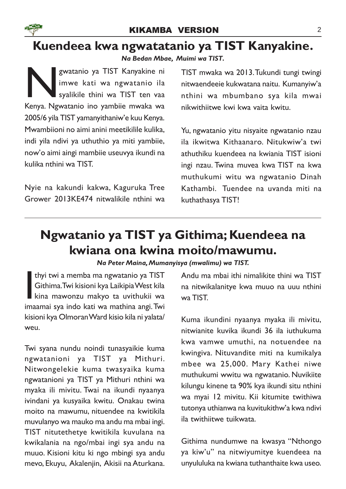# Kuendeea kwa ngwatatanio ya TIST Kanyakine.

Na Bedan Mbae, Muimi wa TIST.

gwatanio ya TIST Kanyakine ni<br>imwe kati wa ngwatanio ila<br>syalikile thini wa TIST ten vaa<br>Kenya. Ngwatanio ino yambiie mwaka wa gwatanio ya TIST Kanyakine ni imwe kati wa ngwatanio ila syalikile thini wa TIST ten vaa 2005/6 yila TIST yamanyithaniw'e kuu Kenya. Mwambiioni no aimi anini meetikilile kulika, indi yila ndivi ya uthuthio ya miti yambiie, now'o aimi aingi mambiie useuvya ikundi na kulika nthini wa TIST.

Nyie na kakundi kakwa, Kaguruka Tree Grower 2013KE474 nitwalikile nthini wa TIST mwaka wa 2013. Tukundi tungi twingi nitwaendeeie kukwatana naitu. Kumanyiw'a nthini wa mbumbano sya kila mwai nikwithiitwe kwi kwa vaita kwitu.

Yu, ngwatanio yitu nisyaite ngwatanio nzau ila ikwitwa Kithaanaro. Nitukwiw'a twi athuthiku kuendeea na kwiania TIST isioni ingi nzau. Twina muvea kwa TIST na kwa muthukumi witu wa ngwatanio Dinah Kathambi. Tuendee na uvanda miti na kuthathasya TIST!

# Ngwatanio ya TIST ya Githima; Kuendeea na kwiana ona kwina moito/mawumu.

Na Peter Maina, Mumanyisya (mwalimu) wa TIST.

thyi twi a memba ma ngwatanio ya TIST<br>Githima.Twi kisioni kya Laikipia West kila<br>kina mawonzu makyo ta uvithukii wa<br>imaamai sya indo kati wa mathina angi.Twi thyi twi a memba ma ngwatanio ya TIST Githima. Twi kisioni kya Laikipia West kila kina mawonzu makyo ta uvithukii wa kisioni kya Olmoran Ward kisio kila ni yalata/ weu.

Twi syana nundu noindi tunasyaikie kuma ngwatanioni ya TIST ya Mithuri. Nitwongelekie kuma twasyaika kuma ngwatanioni ya TIST ya Mithuri nthini wa myaka ili mivitu. Twai na ikundi nyaanya ivindani ya kusyaika kwitu. Onakau twina moito na mawumu, nituendee na kwitikila muvulanyo wa mauko ma andu ma mbai ingi. TIST nitutethetye kwitikila kuvulana na kwikalania na ngo/mbai ingi sya andu na muuo. Kisioni kitu ki ngo mbingi sya andu mevo, Ekuyu, Akalenjin, Akisii na Aturkana.

Andu ma mbai ithi nimalikite thini wa TIST na nitwikalanitye kwa muuo na uuu nthini wa TIST.

Kuma ikundini nyaanya myaka ili mivitu, nitwianite kuvika ikundi 36 ila iuthukuma kwa vamwe umuthi, na notuendee na kwingiva. Nituvandite miti na kumikalya mbee wa 25,000. Mary Kathei niwe muthukumi wwitu wa ngwatanio. Nuvikiite kilungu kinene ta 90% kya ikundi situ nthini wa myai 12 mivitu. Kii kitumite twithiwa tutonya uthianwa na kuvitukithw'a kwa ndivi ila twithiitwe tuikwata.

Githima nundumwe na kwasya "Nthongo ya kiw'u" na nitwiyumitye kuendeea na unyululuka na kwiana tuthanthaite kwa useo.

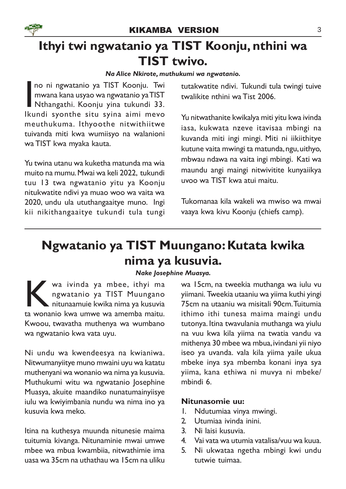# Ithyi twi ngwatanio ya TIST Koonju, nthini wa TIST twivo.

#### Na Alice Nkirote, muthukumi wa ngwatanio.

no ni ngwatanio ya TIST Koonju. Twi<br>Imwana kana usyao wa ngwatanio ya TIST<br>Ikundi syonthe situ syina aimi mevo no ni ngwatanio ya TIST Koonju. Twi mwana kana usyao wa ngwatanio yaTIST Nthangathi. Koonju yina tukundi 33. meuthukuma. Ithyoothe nitwithiitwe tuivanda miti kwa wumiisyo na walanioni wa TIST kwa myaka kauta.

Yu twina utanu wa kuketha matunda ma wia muito na mumu. Mwai wa keli 2022, tukundi tuu 13 twa ngwatanio yitu ya Koonju nitukwatite ndivi ya muao woo wa vaita wa 2020, undu ula ututhangaaitye muno. Ingi kii nikithangaaitye tukundi tula tungi tutakwatite ndivi. Tukundi tula twingi tuive twalikite nthini wa Tist 2006.

Yu nitwathanite kwikalya miti yitu kwa ivinda iasa, kukwata nzeve itavisaa mbingi na kuvanda miti ingi mingi. Miti ni iikiithitye kutune vaita mwingi ta matunda, ngu, uithyo, mbwau ndawa na vaita ingi mbingi. Kati wa maundu angi maingi nitwivitite kunyaiikya uvoo wa TIST kwa atui maitu.

Tukomanaa kila wakeli wa mwiso wa mwai vaaya kwa kivu Koonju (chiefs camp).

# Ngwatanio ya TIST Muungano: Kutata kwika nima ya kusuvia.

#### Nake Josephine Muasya.

K wa ivinda ya mbee, ithyi ma<br>ngwatanio ya TIST Muungano<br>ta wonanio kwa umwe wa amemba maitu.  $\blacktriangledown$  wa ivinda ya mbee, ithyi ma ngwatanio ya TIST Muungano nitunaamuie kwika nima ya kusuvia Kwoou, twavatha muthenya wa wumbano wa ngwatanio kwa vata uyu.

Ni undu wa kwendeesya na kwianiwa. Nitwumanyiitye muno mwaini uyu wa katatu muthenyani wa wonanio wa nima ya kusuvia. Muthukumi witu wa ngwatanio Josephine Muasya, akuite maandiko nunatumainyiisye iulu wa kwiyimbania nundu wa nima ino ya kusuvia kwa meko.

Itina na kuthesya muunda nitunesie maima tuitumia kivanga. Nitunaminie mwai umwe mbee wa mbua kwambiia, nitwathimie ima uasa wa 35cm na uthathau wa 15cm na uliku

wa 15cm, na tweekia muthanga wa iulu vu yiimani. Tweekia utaaniu wa yiima kuthi yingi 75cm na utaaniu wa misitali 90cm. Tuitumia ithimo ithi tunesa maima maingi undu tutonya. Itina twavulania muthanga wa yiulu na vuu kwa kila yiima na twatia vandu va mithenya 30 mbee wa mbua, ivindani yii niyo iseo ya uvanda. vala kila yiima yaile ukua mbeke inya sya mbemba konani inya sya yiima, kana ethiwa ni muvya ni mbeke/ mbindi 6.

#### Nitunasomie uu:

- 1. Ndutumiaa vinya mwingi.
- 2. Utumiaa ivinda inini.
- 3. Ni laisi kusuvia.
- 4. Vai vata wa utumia vatalisa/vuu wa kuua.
- 5. Ni ukwataa ngetha mbingi kwi undu tutwie tuimaa.

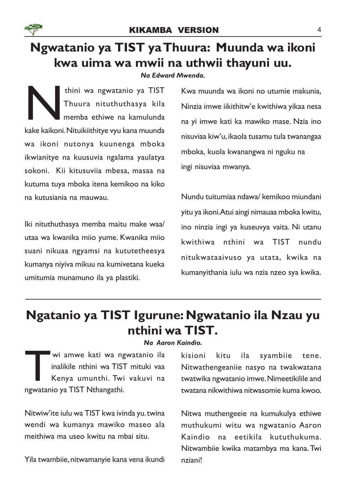

# Ngwatanio ya TIST ya Thuura: Muunda wa ikoni kwa uima wa mwii na uthwii thayuni uu.

Na Edward Mwenda.

Thuura nituthuthasya kila<br>Kake kaikoni. Nituikiithitye vyu kana muunda<br>Kake kaikoni. Nituikiithitye vyu kana muunda thini wa ngwatanio ya TIST Thuura nituthuthasya kila memba ethiwe na kamulunda wa ikoni nutonya kuunenga mboka ikwianitye na kuusuvia ngalama yaulatya sokoni. Kii kitusuviia mbesa, masaa na kutuma tuya mboka itena kemikoo na kiko na kutusiania na mauwau.

Iki nituthuthasya memba maitu make waa/ utaa wa kwanika miio yume. Kwanika miio suani nikuaa ngyamsi na kututetheesya kumanya niyiva mikuu na kumivetana kueka umitumia munamuno ila ya plastiki.

Kwa muunda wa ikoni no utumie makunia, Ninzia imwe iikithitw'e kwithiwa yikaa nesa na yi imwe kati ka mawiko mase. Nzia ino nisuviaa kiw'u, ikaola tusamu tula twanangaa mboka, kuola kwanangwa ni nguku na ingi nisuviaa mwanya.

Nundu tuitumiaa ndawa/ kemikoo miundani yitu ya ikoni.Atui aingi nimauaa mboka kwitu, ino ninzia ingi ya kuseuvya vaita. Ni utanu kwithiwa nthini wa TIST nundu nitukwataaivuso ya utata, kwika na kumanyithania iulu wa nzia nzeo sya kwika.

## Ngatanio ya TIST Igurune: Ngwatanio ila Nzau yu nthini wa TIST.

Na Aaron Kaindio.

Wi amwe kati wa ng<br>
inalikile nthini wa TIST<br>
Kenya umunthi. Twi<br>
ngwatanio ya TIST Nthangathi. wi amwe kati wa ngwatanio ila inalikile nthini wa TIST mituki vaa Kenya umunthi. Twi vakuvi na

Nitwiw'ite iulu wa TIST kwa ivinda yu. twina wendi wa kumanya mawiko maseo ala meithiwa ma useo kwitu na mbai situ.

Yila twambiie, nitwamanyie kana vena ikundi

kisioni kitu ila syambiie tene. Nitwathengeaniie nasyo na twakwatana twatwika ngwatanio imwe. Nimeetikilile and twatana nikwithiwa nitwasomie kuma kwoo.

Nitwa muthengeeie na kumukulya ethiwe muthukumi witu wa ngwatanio Aaron Kaindio na eetikila kututhukuma. Nitwambiie kwika matambya ma kana. Twi nziani!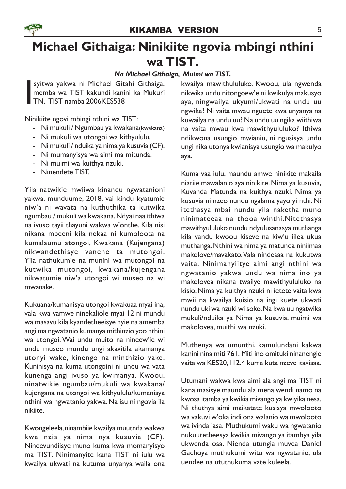

# Michael Githaiga: Ninikiite ngovia mbingi nthini wa TIST.

#### Na Michael Githaiga, Muimi wa TIST.

syitwa yakwa ni Michael Gitahi Githaiga,<br>memba wa TIST kakundi kanini ka Mukuri<br>TN. TIST namba 2006KES538 memba wa TIST kakundi kanini ka Mukuri TN. TIST namba 2006KES538

Ninikiite ngovi mbingi nthini wa TIST:

- Ni mukuli / Ngumbau ya kwakana(kwakana)
- Ni mukuli wa utongoi wa kithyululu.
- Ni mukuli / nduika ya nima ya kusuvia (CF).
- Ni mumanyisya wa aimi ma mitunda.
- Ni muimi wa kuithya nzuki.
- Ninendete TIST.

Yila natwikie mwiiwa kinandu ngwatanioni yakwa, munduume, 2018, vai kindu kyatumie niw'a ni wavata na kuthuthika ta kutwika ngumbau / mukuli wa kwakana. Ndyai naa ithiwa na ivuso tayii thayuni wakwa w'onthe. Kila nisi nikana mbeeni kila nekaa ni kumoloota na kumalaumu atongoi, Kwakana (Kujengana) nikwandethisye vanene ta mutongoi. Yila nathukumie na munini wa mutongoi na kutwika mutongoi, kwakana/kujengana nikwatumie niw'a utongoi wi museo na wi mwanake.

Kukuana/kumanisya utongoi kwakuaa myai ina, vala kwa vamwe ninekaliole myai 12 ni mundu wa masavu kila kyandetheeisye nyie na amemba angi ma ngwatanio kumanya mithinzio yoo nthini wa utongoi. Wai undu muito na nineew'ie wi undu museo mundu ungi akavitila akamanya utonyi wake, kinengo na minthizio yake. Kuninisya na kuma utongoini ni undu wa vata kunenga angi ivuso ya kwimanya. Kwoou, ninatwikie ngumbau/mukuli wa kwakana/ kujengana na utongoi wa kithyululu/kumanisya nthini wa ngwatanio yakwa. Na isu ni ngovia ila nikiite.

Kwongeleela, ninambiie kwailya muutnda wakwa kwa nzia ya nima nya kusuvia (CF). Nineevundiisye muno kuma kwa momanyisyo ma TIST. Ninimanyite kana TIST ni iulu wa kwailya ukwati na kutuma unyanya waila ona

kwailya mawithululuko. Kwoou, ula ngwenda nikwika undu nitongoew'e ni kwikulya makusyo aya, ningwailya ukyumi/ukwati na undu uu ngwika? Ni vaita mwau nguete kwa unyanya na kuwailya na undu uu? Na undu uu ngika wiithiwa na vaita mwau kwa mawithyululuko? Ithiwa ndikwona usungio mwianiu, ni ngusisya undu ungi nika utonya kwianisya usungio wa makulyo aya.

Kuma vaa iulu, maundu amwe ninikite makaila niatiie mawalanio aya ninikite. Nima ya kusuvia, Kuvanda Matunda na kuithya nzuki. Nima ya kusuvia ni nzeo nundu ngalama yayo yi nthi. Ni itethasya mbai nundu yila naketha muno ninimateeaa na thooa winthi.Nitethasya mawithyululuko nundu ndyulusanasya muthanga kila vandu kwoou kiseve na kiw'u iilea ukua muthanga. Nthini wa nima ya matunda niniimaa makolove/mavakato. Vala nindesaa na kukutwa vaita. Ninimanyiitye aimi angi nthini wa ngwatanio yakwa undu wa nima ino ya makolovea nikana twailye mawithyululuko na kisio. Nima ya kuithya nzuki ni ietete vaita kwa mwii na kwailya kuisio na ingi kuete ukwati nundu uki wa nzuki wi soko. Na kwa uu ngatwika mukuli/nduika ya Nima ya kusuvia, muimi wa makolovea, muithi wa nzuki.

Muthenya wa umunthi, kamulundani kakwa kanini nina miti 761. Miti ino omituki ninanengie vaita wa KES20,112.4 kuma kuta nzeve itavisaa.

Utumani wakwa kwa aimi ala angi ma TIST ni kana masisye maundu ala mena wendi namo na kwosa itamba ya kwikia mivango ya kwiyika nesa. Ni thuthya aimi maikatate kusisya mwolooto wa vakuvi w'oka indi ona walanio wa mwolooto wa ivinda iasa. Muthukumi waku wa ngwatanio nukuutetheesya kwikia mivango ya itambya yila ukwenda osa. Nienda utungia muvea Daniel Gachoya muthukumi witu wa ngwatanio, ula uendee na ututhukuma vate kuleela.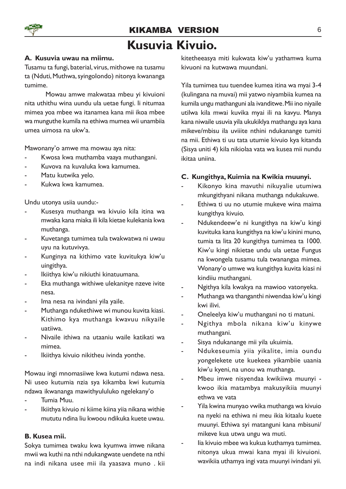

### KIKAMBA VERSION 6 Kusuvia Kivuio.

#### A. Kusuvia uwau na miimu.

Tusamu ta fungi, baterial, virus, mithowe na tusamu ta (Nduti, Muthwa, syingolondo) nitonya kwananga tumime.

Mowau amwe makwataa mbeu yi kivuioni nita uthithu wina uundu ula uetae fungi. Ii nitumaa mimea yoa mbee wa itanamea kana mii ikoa mbee wa munguthe kumila na ethiwa mumea wii unambiia umea uimosa na ukw'a.

Mawonany'o amwe ma mowau aya nita:

- Kwosa kwa muthamba vaaya muthangani.
- Kuvova na kuvaluka kwa kamumea.
- Matu kutwika yelo.
- Kukwa kwa kamumea.

Undu utonya usiia uundu:-

- Kusesya muthanga wa kivuio kila itina wa mwaka kana miaka ili kila kietae kulekania kwa muthanga.
- Kuvetanga tumimea tula twakwatwa ni uwau uyu na kutuvivya.
- Kunginya na kithimo vate kuvitukya kiw'u uingithya.
- Ikiithya kiw'u nikiuthi kinatuumana.
- Eka muthanga withiwe ulekanitye nzeve ivite nesa.
- Ima nesa na ivindani yila yaile.
- Muthanga ndukethiwe wi munou kuvita kiasi. Kithimo kya muthanga kwavuu nikyaile uatiiwa.
- Nivaile ithiwa na utaaniu waile katikati wa mimea.
- Ikiithya kivuio nikitheu ivinda yonthe.

Mowau ingi mnomasiiwe kwa kutumi ndawa nesa. Ni useo kutumia nzia sya kikamba kwi kutumia ndawa ikwananga mawithyululuko ngelekany'o

- Tumia Muu.
- Ikiithya kivuio ni kiime kiina yiia nikana withie mututu ndina liu kwoou ndikuka kuete uwau.

#### B. Kusea mii.

Sokya tumimea twaku kwa kyumwa imwe nikana mwii wa kuthi na nthi ndukangwate uendete na nthi na indi nikana usee mii ila yaasava muno . kii

kitetheeasya miti kukwata kiw'u yathamwa kuma kivuoni na kutwawa muundani.

Yila tumimea tuu tuendee kumea itina wa myai 3-4 (kulingana na muvai) mii yatwo niyambiia kumea na kumila ungu mathanguni ala ivanditwe. Mii ino niyaile utilwa kila mwai kuvika myai ili na kavyu. Manya kana niwaile usuvia yila ukukiklya mathangu aya kana mikeve/mbisu ila uviiite nthini ndukanange tumiti na mii. Ethiwa ti uu tata utumie kivuio kya kitanda (Sisya uniti 4) kila nikiolaa vata wa kusea mii nundu ikitaa uniina.

#### C. Kungithya, Kuimia na Kwikia muunyi.

- Kikonyo kina mavuthi nikuyalie utumiwa mkungithyani nikana muthanga ndukakuwe.
- Ethiwa ti uu no utumie mukeve wina maima kungithya kivuio.
- Ndukendeew'e ni kungithya na kiw'u kingi kuvituka kana kungithya na kiw'u kinini muno, tumia ta lita 20 kungithya tumimea ta 1000. Kiw'u kingi nikietae undu ula uetae Fungus na kwongela tusamu tula twanangaa mimea. Wonany'o umwe wa kungithya kuvita kiasi ni kindiiu muthangani.
- Ngithya kila kwakya na mawioo vatonyeka.
- Muthanga wa thanganthi niwendaa kiw'u kingi kwi ilivi.
- Oneleelya kiw'u muthangani no ti matuni.
- Ngithya mbola nikana kiw'u kinywe muthangani.
- Sisya ndukanange mii yila ukuimia.
- Ndukeseumia yiia yikalite, imia oundu yongelekete ute kuekeea yikambiie uaania kiw'u kyeni, na unou wa muthanga.
- Mbeu imwe nisyendaa kwikiiwa muunyi kwoo ikia matambya makusyikiia muunyi ethwa ve vata
- Yila kwina munyao vwika muthanga wa kivuio na nyeki na ethiwa ni meu ikia kitaalu kuete muunyi. Ethiwa syi matanguni kana mbisuni/ mikeve kua utwa ungu wa muti.
- lia kivuio mbee wa kukua kuthamya tumimea. nitonya ukua mwai kana myai ili kivuioni. wavikiia uthamya ingi vata muunyi ivindani yii.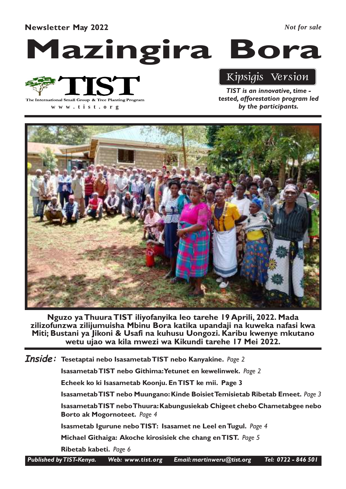#### Newsletter May 2022

*Not for sale*

# Mazingira Bora



**www .tist.org**

## Kipsigis Version

TIST is an innovative, time tested, afforestation program led by the participants.



Nguzo ya Thuura TIST iliyofanyika leo tarehe 19 Aprili, 2022. Mada zilizofunzwa zilijumuisha Mbinu Bora katika upandaji na kuweka nafasi kwa Miti; Bustani ya Jikoni & Usafi na kuhusu Uongozi. Karibu kwenye mkutano wetu ujao wa kila mwezi wa Kikundi tarehe 17 Mei 2022.

 $\bm{Inside:}\,$  Tesetaptai nebo Isasametab<code>TIST</code> nebo Kanyakine. <code>Page 2</code>

Isasametab TIST nebo Githima: Yetunet en kewelinwek. Page 2

Echeek ko ki Isasametab Koonju. En TIST ke mii. Page 3

Isasametab TIST nebo Muungano: Kinde Boisiet Temisietab Ribetab Emeet. Page 3

Isasametab TIST nebo Thuura: Kabungusiekab Chigeet chebo Chametabgee nebo Borto ak Mogornoteet. Page 4

Isasmetab Igurune nebo TIST: Isasamet ne Leel en Tugul. Page 4

Michael Githaiga: Akoche kirosisiek che chang en TIST. Page 5

Ribetab kabeti. Page 6

Published by TIST-Kenya. Web: www.tist.org Email: martinweru@tist.org Tel: 0722 - 846 501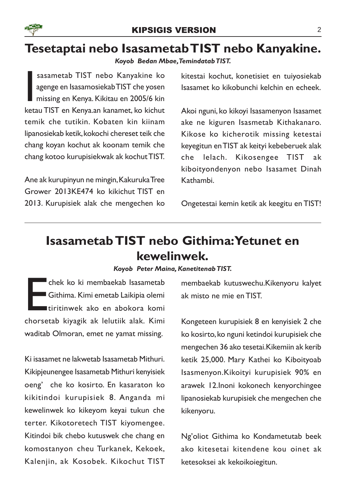

### Tesetaptai nebo Isasametab TIST nebo Kanyakine.

Koyob Bedan Mbae, Temindatab TIST.

sasametab TIST nebo Kanyakine ko<br>agenge en IsasamosiekabTIST che yosen<br>missing en Kenya. Kikitau en 2005/6 kin<br>ketau TIST en Kenya.an kanamet, ko kichut sasametab TIST nebo Kanyakine ko agenge en Isasamosiekab TIST che yosen missing en Kenya. Kikitau en 2005/6 kin temik che tutikin. Kobaten kin kiinam lipanosiekab ketik, kokochi chereset teik che chang koyan kochut ak koonam temik che chang kotoo kurupisiekwak ak kochut TIST.

Ane ak kurupinyun ne mingin, Kakuruka Tree Grower 2013KE474 ko kikichut TIST en 2013. Kurupisiek alak che mengechen ko kitestai kochut, konetisiet en tuiyosiekab Isasamet ko kikobunchi kelchin en echeek.

Akoi nguni, ko kikoyi Isasamenyon Isasamet ake ne kiguren Isasmetab Kithakanaro. Kikose ko kicherotik missing ketestai keyegitun en TIST ak keityi kebeberuek alak che lelach. Kikosengee TIST ak kiboityondenyon nebo Isasamet Dinah Kathambi.

Ongetestai kemin ketik ak keegitu en TIST!

# Isasametab TIST nebo Githima: Yetunet en kewelinwek.

#### Koyob Peter Maina, Kanetitenab TIST.

Chek ko ki membaekab Isasametab<br>Githima. Kimi emetab Laikipia olemi<br>tiritinwek ako en abokora komi<br>chorsetab kiyagik ak lelutiik alak. Kimi chek ko ki membaekab Isasametab Githima. Kimi emetab Laikipia olemi tiritinwek ako en abokora komi waditab Olmoran, emet ne yamat missing.

Ki isasamet ne lakwetab Isasametab Mithuri. Kikipjeunengee Isasametab Mithuri kenyisiek oeng' che ko kosirto. En kasaraton ko kikitindoi kurupisiek 8. Anganda mi kewelinwek ko kikeyom keyai tukun che terter. Kikotoretech TIST kiyomengee. Kitindoi bik chebo kutuswek che chang en komostanyon cheu Turkanek, Kekoek, Kalenjin, ak Kosobek. Kikochut TIST membaekab kutuswechu.Kikenyoru kalyet ak misto ne mie en TIST.

Kongeteen kurupisiek 8 en kenyisiek 2 che ko kosirto, ko nguni ketindoi kurupisiek che mengechen 36 ako tesetai.Kikemiin ak kerib ketik 25,000. Mary Kathei ko Kiboityoab Isasmenyon.Kikoityi kurupisiek 90% en arawek 12.Inoni kokonech kenyorchingee lipanosiekab kurupisiek che mengechen che kikenyoru.

Ng'oliot Githima ko Kondametutab beek ako kitesetai kitendene kou oinet ak ketesoksei ak kekoikoiegitun.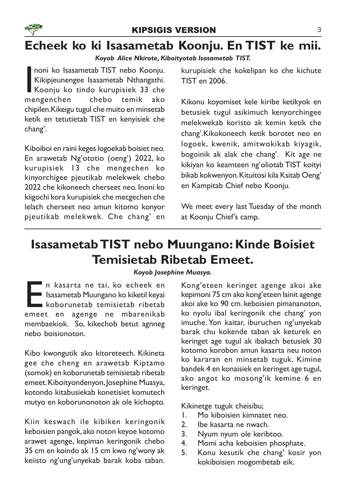# Echeek ko ki Isasametab Koonju. En TIST ke mii.

#### Koyob Alice Nkirote, Kiboityotab Isasametab TIST.

**I**<br>Ime noni ko Isasametab TIST nebo Koonju. Kikipjeunengee Isasametab Nthangathi. Koonju ko tindo kurupisiek 33 che mengenchen chebo temik ako chipilen.Kikeigu tugul che muito en minsetab ketik en tetutietab TIST en kenyisiek che chang'.

Kiboiboi en raini keges logoekab boisiet neo. En arawetab Ng'ototio (oeng') 2022, ko kurupisiek 13 che mengechen ko kinyorchigee pjeutikab melekwek chebo 2022 che kikoneech cherseet neo. Inoni ko kiigochi kora kurupisiek che mecgechen che lelach cherseet neo amun kitomo konyor pjeutikab melekwek. Che chang' en kurupisiek che kokelipan ko che kichute TIST en 2006.

Kikonu koyomiset kele kiribe ketikyok en betusiek tugul asikimuch kenyorchingee melekwekab koristo ak kemin ketik che chang'.Kikokoneech ketik borotet neo en logoek, kwenik, amitwokikab kiyagik, bogoinik ak alak che chang'. Kit age ne kikiyan ko keamteen ng'oliotab TIST koityi bikab kokwenyon. Kituitosi kila Ksitab Oeng' en Kampitab Chief nebo Koonju.

We meet every last Tuesday of the month at Koonju Chief's camp.

# Isasametab TIST nebo Muungano: Kinde Boisiet Temisietab Ribetab Emeet.

#### Koyob Josephine Muasya.

Emerikaan van die tai, koe echeek en assametab Muungano kokiketil keyai koborunetab temisietab ribetab emeet en agenge ne mbarenikab n kasarta ne tai, ko echeek en Isasametab Muungano ko kiketil keyai koborunetab temisietab ribetab membaekiok. So, kikechob betut agnneg nebo boisionoton.

Kibo kwongutik ako kitoreteech. Kikineta gee che cheng en arawetab Kiptamo (somok) en koborunetab temisietab ribetab emeet. Kiboityondenyon, Josephine Muasya, kotondo kitabusiekab konetisiet komutech mutyo en koborunonoton ak ole kichopto.

Kiin keswach ile kibiken keringonik keboisien pangok, ako noton keyoe kotomo arawet agenge, kepiman keringonik chebo 35 cm en koindo ak 15 cm kwo ng'wony ak keiisto ng'ung'unyekab barak koba taban.

Kong'eteen keringet agenge akoi ake kepimoni 75 cm ako kong'eteen lainit agenge akoi ake ko 90 cm. keboisien pimananoton, ko nyolu ibal keringonik che chang' yon imuche. Yon kaitar, iburuchen ng'unyekab barak chu kokende taban ak keturek en keringet age tugul ak ibakach betusiek 30 kotomo korobon amun kasarta neu noton ko kararan en minsetab tuguk. Kimine bandek 4 en konaisiek en keringet age tugul, ako angot ko mosong'ik kemine 6 en keringet.

Kikinetge tuguk cheisibu;

- 1. Mo kiboisien kimnatet neo.
- 2. Ibe kasarta ne nwach.
- 3. Nyum nyum ole keribtoo.
- 4. Momi acha keboisien phosphate.
- 5. Konu kesutik che chang' kosir yon kokiboisien mogombetab eik.

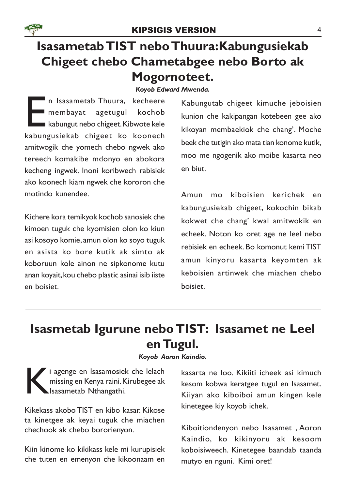

#### KIPSIGIS VERSION 4

# Isasametab TIST nebo Thuura:Kabungusiekab Chigeet chebo Chametabgee nebo Borto ak Mogornoteet.

#### Koyob Edward Mwenda.

**Example 18 Sepandary 18 Sepandary 18 Sepandary 18 Sepandary 18 Sepandary 18 Sepandary 18 Sepandary 18 Sepandary 18 Sepandary 18 Sepandary 18 Sepandary 18 Sepandary 18 Sepandary 18 Sepandary 18 Sepandary 18 Sepandary 18 Se** n Isasametab Thuura, kecheere membayat agetugul kochob kabungut nebo chigeet. Kibwote kele amitwogik che yomech chebo ngwek ako tereech komakibe mdonyo en abokora kecheng ingwek. Inoni koribwech rabisiek ako koonech kiam ngwek che kororon che motindo kunendee.

Kichere kora temikyok kochob sanosiek che kimoen tuguk che kyomisien olon ko kiun asi kosoyo komie, amun olon ko soyo tuguk en asista ko bore kutik ak simto ak koboruun kole ainon ne sipkonome kutu anan koyait, kou chebo plastic asinai isib iiste en boisiet.

Kabungutab chigeet kimuche jeboisien kunion che kakipangan kotebeen gee ako kikoyan membaekiok che chang'. Moche beek che tutigin ako mata tian konome kutik, moo me ngogenik ako moibe kasarta neo en biut.

Amun mo kiboisien kerichek en kabungusiekab chigeet, kokochin bikab kokwet che chang' kwal amitwokik en echeek. Noton ko oret age ne leel nebo rebisiek en echeek. Bo komonut kemi TIST amun kinyoru kasarta keyomten ak keboisien artinwek che miachen chebo boisiet.

# Isasmetab Igurune nebo TIST: Isasamet ne Leel en Tugul.

#### Koyob Aaron Kaindio.

i agenge en Isasamosiek che lelach<br>
missing en Kenya raini. Kirubegee ak<br>
Isasametab Nthangathi. missing en Kenya raini. Kirubegee ak Isasametab Nthangathi.

Kikekass akobo TIST en kibo kasar. Kikose ta kinetgee ak keyai tuguk che miachen chechook ak chebo bororienyon.

Kiin kinome ko kikikass kele mi kurupisiek che tuten en emenyon che kikoonaam en

kasarta ne loo. Kikiiti icheek asi kimuch kesom kobwa keratgee tugul en Isasamet. Kiiyan ako kiboiboi amun kingen kele kinetegee kiy koyob ichek.

Kiboitiondenyon nebo Isasamet , Aoron Kaindio, ko kikinyoru ak kesoom koboisiweech. Kinetegee baandab taanda mutyo en nguni. Kimi oret!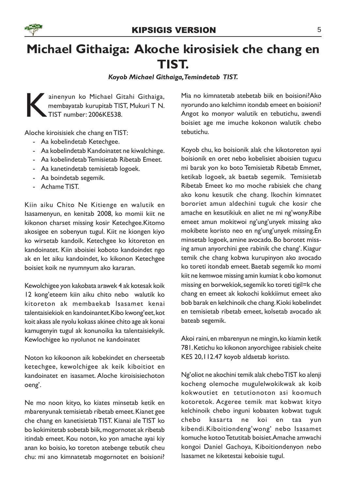

# Michael Githaiga: Akoche kirosisiek che chang en TIST.

Koyob Michael Githaiga,Temindetab TIST.

ainenyun ko Michael Gitahi Githaiga,<br>membayatab kurupitab TIST, Mukuri T N.<br>TIST number: 2006KE538. membayatab kurupitab TIST, Mukuri T N. TIST number: 2006KE538.

Aloche kiroisisiek che chang en TIST:

- Aa kobelindetab Ketechgee.
- Aa kobelindetab Kandoinatet ne kiwalchinge.
- Aa kobelindetab Temisietab Ribetab Emeet.
- Aa kanetindetab temisietab logoek.
- Aa boindetab segemik.
- Achame TIST.

Kiin aiku Chito Ne Kitienge en walutik en Isasamenyun, en kenitab 2008, ko momii kiit ne kikonon charset missing kosir Ketechgee.Kitomo akosigee en sobenyun tugul. Kiit ne kiongen kiyo ko wirsetab kandoik. Ketechgee ko kitoreton en kandoinatet. Kiin aboisiei koboto kandoindet ngo ak en let aiku kandoindet, ko kikonon Ketechgee boisiet koik ne nyumnyum ako kararan.

Kewolchigee yon kakobata arawek 4 ak kotesak koik 12 kong'eteem kiin aiku chito nebo walutik ko kitoreton ak membaekab Isasamet kenai talentaisiekiok en kandoinantet.Kibo kwong'eet, kot koit akass ale nyolu kokass akinee chito age ak konai kamugenyin tugul ak konunoika ka talentaisiekyik. Kewlochigee ko nyolunot ne kandoinatet

Noton ko kikoonon aik kobekindet en cherseetab ketechgee, kewolchigee ak keik kiboitiot en kandoinatet en isasamet. Aloche kiroisisiechoton oeng'.

Ne mo noon kityo, ko kiates minsetab ketik en mbarenyunak temisietab ribetab emeet. Kianet gee che chang en kanetisietab TIST. Kianai ale TIST ko bo kokimitetab sobetab biik, mogornotet ak ribetab itindab emeet. Kou noton, ko yon amache ayai kiy anan ko boisio, ko toreton atebenge tebutik cheu chu: mi ano kimnatetab mogornotet en boisioni?

Mia no kimnatetab atebetab biik en boisioni?Ako nyorundo ano kelchimn itondab emeet en boisioni? Angot ko monyor walutik en tebutichu, awendi boisiet age me imuche kokonon walutik chebo tebutichu.

Koyob chu, ko boisionik alak che kikotoreton ayai boisionik en oret nebo kobelisiet aboisien tugucu mi barak yon ko boto Temisietab Ribetab Emmet, ketikab logoek, ak baetab segemik. Temisietab Ribetab Emeet ko mo moche rabisiek che chang ako konu kesutik che chang. Ikochin kimnatet bororiet amun aldechini tuguk che kosir che amache en kesutikiuk en aliet ne mi ng'wony.Ribe emeet amun mokitwoi ng'ung'unyek missing ako mokibete koristo neo en ng'ung'unyek missing.En minsetab logoek, amine avocado. Bo borotet missing amun anyorchini gee rabinik che chang'. Kiagur temik che chang kobwa kurupinyon ako avocado ko toreti itondab emeet. Baetab segemik ko momi kiit ne kemwoe missing amin kumiat k obo komonut missing en borwekiok, segemik ko toreti tigil=k che chang en emeet ak kokochi kokkiimut emeet ako bob barak en kelchinoik che chang. Kioki kobelindet en temisietab ribetab emeet, kolsetab avocado ak bateab segemik.

Akoi raini, en mbarenyun ne mingin, ko kiamin ketik 781. Ketichu ko kikonon anyorchigee rabisiek cheite KES 20,112.47 koyob aldaetab koristo.

Ng'oliot ne akochini temik alak chebo TIST ko alenji kocheng olemoche mugulelwokikwak ak koib kokwoutiet en tetutionoton asi koomuch kotoretok. Acgeree temik mat kobwat kityo kelchinoik chebo inguni kobaaten kobwat tuguk chebo kasarta ne koi en taa yun kibendi.Kiboitiondeng'wong' nebo Isasamet komuche kotoo Tetutitab boisiet.Amache amwachi kongoi Daniel Gachoya, Kiboitiondenyon nebo Isasamet ne kiketestai keboisie tugul.